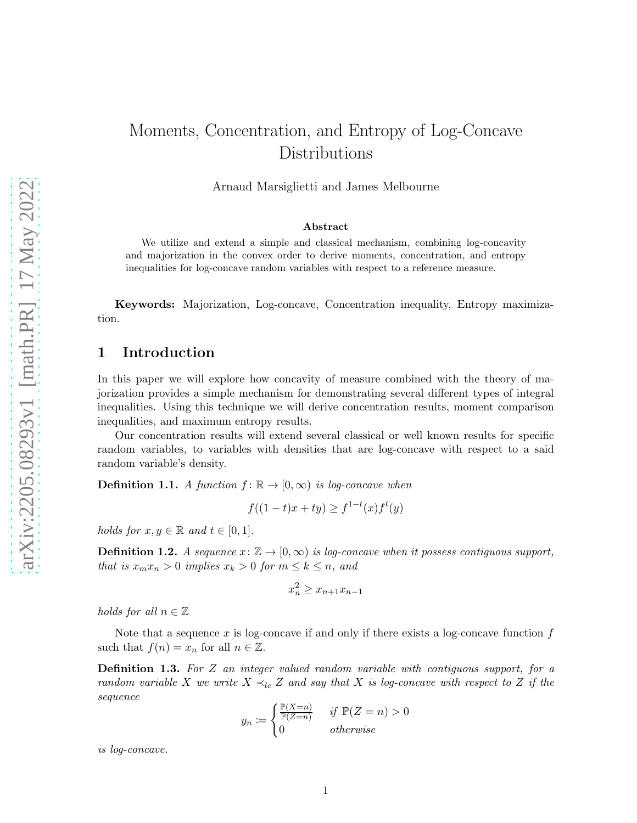# Moments, Concentration, and Entropy of Log-Concave Distributions

Arnaud Marsiglietti and James Melbourne

#### Abstract

We utilize and extend a simple and classical mechanism, combining log-concavity and majorization in the convex order to derive moments, concentration, and entropy inequalities for log-concave random variables with respect to a reference measure.

Keywords: Majorization, Log-concave, Concentration inequality, Entropy maximization.

#### 1 Introduction

In this paper we will explore how concavity of measure combined with the theory of majorization provides a simple mechanism for demonstrating several different types of integral inequalities. Using this technique we will derive concentration results, moment comparison inequalities, and maximum entropy results.

Our concentration results will extend several classical or well known results for specific random variables, to variables with densities that are log-concave with respect to a said random variable's density.

**Definition 1.1.** A function  $f: \mathbb{R} \to [0, \infty)$  is log-concave when

$$
f((1-t)x + ty) \ge f^{1-t}(x)f^{t}(y)
$$

holds for  $x, y \in \mathbb{R}$  and  $t \in [0, 1]$ .

**Definition 1.2.** A sequence  $x: \mathbb{Z} \to [0,\infty)$  is log-concave when it possess contiguous support, that is  $x_m x_n > 0$  implies  $x_k > 0$  for  $m \leq k \leq n$ , and

$$
x_n^2 \ge x_{n+1}x_{n-1}
$$

holds for all  $n \in \mathbb{Z}$ 

Note that a sequence  $x$  is log-concave if and only if there exists a log-concave function  $f$ such that  $f(n) = x_n$  for all  $n \in \mathbb{Z}$ .

Definition 1.3. For Z an integer valued random variable with contiguous support, for a random variable X we write  $X \prec_{lc} Z$  and say that X is log-concave with respect to Z if the sequence

$$
y_n \coloneqq \begin{cases} \frac{\mathbb{P}(X=n)}{\mathbb{P}(Z=n)} & \text{if } \mathbb{P}(Z=n) > 0\\ 0 & \text{otherwise} \end{cases}
$$

is log-concave.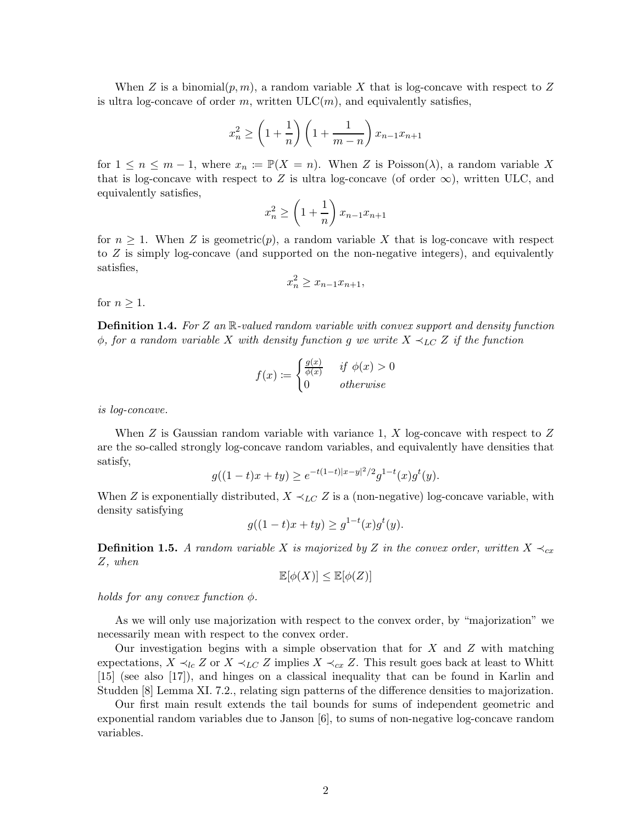When Z is a binomial $(p, m)$ , a random variable X that is log-concave with respect to Z is ultra log-concave of order m, written  $ULC(m)$ , and equivalently satisfies,

$$
x_n^2 \ge \left(1 + \frac{1}{n}\right)\left(1 + \frac{1}{m-n}\right)x_{n-1}x_{n+1}
$$

for  $1 \leq n \leq m-1$ , where  $x_n := \mathbb{P}(X = n)$ . When Z is Poisson( $\lambda$ ), a random variable X that is log-concave with respect to Z is ultra log-concave (of order  $\infty$ ), written ULC, and equivalently satisfies,

$$
x_n^2 \ge \left(1 + \frac{1}{n}\right) x_{n-1} x_{n+1}
$$

for  $n \geq 1$ . When Z is geometric(p), a random variable X that is log-concave with respect to Z is simply log-concave (and supported on the non-negative integers), and equivalently satisfies,

$$
x_n^2 \ge x_{n-1}x_{n+1},
$$

for  $n \geq 1$ .

**Definition 1.4.** For Z an  $\mathbb{R}$ -valued random variable with convex support and density function  $\phi$ , for a random variable X with density function g we write  $X \prec_{LC} Z$  if the function

$$
f(x) := \begin{cases} \frac{g(x)}{\phi(x)} & \text{if } \phi(x) > 0\\ 0 & \text{otherwise} \end{cases}
$$

is log-concave.

When  $Z$  is Gaussian random variable with variance 1,  $X$  log-concave with respect to  $Z$ are the so-called strongly log-concave random variables, and equivalently have densities that satisfy,

$$
g((1-t)x+ty) \ge e^{-t(1-t)|x-y|^2/2}g^{1-t}(x)g^{t}(y).
$$

When Z is exponentially distributed,  $X \prec_{LC} Z$  is a (non-negative) log-concave variable, with density satisfying

$$
g((1-t)x + ty) \ge g^{1-t}(x)g^{t}(y).
$$

**Definition 1.5.** A random variable X is majorized by Z in the convex order, written  $X \prec_{cx} Y$ Z, when

$$
\mathbb{E}[\phi(X)] \leq \mathbb{E}[\phi(Z)]
$$

holds for any convex function  $\phi$ .

As we will only use majorization with respect to the convex order, by "majorization" we necessarily mean with respect to the convex order.

Our investigation begins with a simple observation that for  $X$  and  $Z$  with matching expectations,  $X \prec_{lc} Z$  or  $X \prec_{lc} Z$  implies  $X \prec_{cx} Z$ . This result goes back at least to Whitt [15] (see also [17]), and hinges on a classical inequality that can be found in Karlin and Studden [8] Lemma XI. 7.2., relating sign patterns of the difference densities to majorization.

Our first main result extends the tail bounds for sums of independent geometric and exponential random variables due to Janson [6], to sums of non-negative log-concave random variables.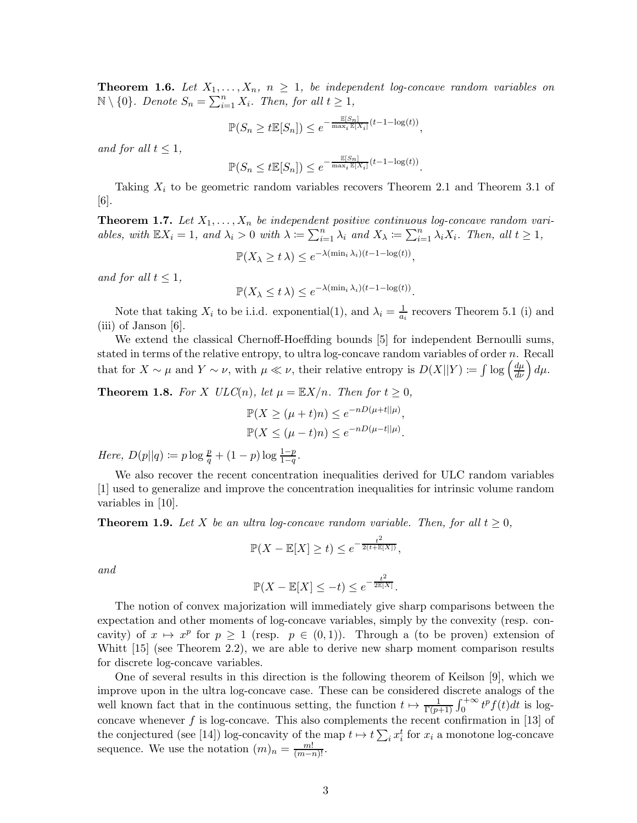**Theorem 1.6.** Let  $X_1, \ldots, X_n, n \geq 1$ , be independent log-concave random variables on  $\mathbb{N}\setminus\{0\}$ . Denote  $S_n = \sum_{i=1}^n X_i$ . Then, for all  $t \geq 1$ ,

$$
\mathbb{P}(S_n \ge t \mathbb{E}[S_n]) \le e^{-\frac{\mathbb{E}[S_n]}{\max_i \mathbb{E}[X_i]}(t-1-\log(t))},
$$

and for all  $t \leq 1$ ,

$$
\mathbb{P}(S_n \le t \mathbb{E}[S_n]) \le e^{-\frac{\mathbb{E}[S_n]}{\max_i \mathbb{E}[X_i]}(t-1-\log(t))}.
$$

Taking  $X_i$  to be geometric random variables recovers Theorem 2.1 and Theorem 3.1 of [6].

**Theorem 1.7.** Let  $X_1, \ldots, X_n$  be independent positive continuous log-concave random variables, with  $\mathbb{E}X_i = 1$ , and  $\lambda_i > 0$  with  $\lambda := \sum_{i=1}^n \lambda_i$  and  $X_{\lambda} := \sum_{i=1}^n \lambda_i X_i$ . Then, all  $t \geq 1$ ,

$$
\mathbb{P}(X_{\lambda} \geq t \lambda) \leq e^{-\lambda(\min_i \lambda_i)(t-1-\log(t))},
$$

and for all  $t \leq 1$ ,

$$
\mathbb{P}(X_{\lambda} \leq t \lambda) \leq e^{-\lambda(\min_i \lambda_i)(t-1-\log(t))}.
$$

Note that taking  $X_i$  to be i.i.d. exponential(1), and  $\lambda_i = \frac{1}{a_i}$  $\frac{1}{a_i}$  recovers Theorem 5.1 (i) and (iii) of Janson [6].

We extend the classical Chernoff-Hoeffding bounds [5] for independent Bernoulli sums, stated in terms of the relative entropy, to ultra log-concave random variables of order  $n$ . Recall that for  $X \sim \mu$  and  $Y \sim \nu$ , with  $\mu \ll \nu$ , their relative entropy is  $D(X||Y) \coloneqq \int \log \left(\frac{d\mu}{d\nu}\right) d\mu$ .

**Theorem 1.8.** For X  $ULC(n)$ , let  $\mu = \mathbb{E}X/n$ . Then for  $t \geq 0$ ,

$$
\mathbb{P}(X \ge (\mu + t)n) \le e^{-nD(\mu + t||\mu)},
$$
  

$$
\mathbb{P}(X \le (\mu - t)n) \le e^{-nD(\mu - t||\mu)}.
$$

Here,  $D(p||q) \coloneqq p \log \frac{p}{q} + (1-p) \log \frac{1-p}{1-q}$ .

We also recover the recent concentration inequalities derived for ULC random variables [1] used to generalize and improve the concentration inequalities for intrinsic volume random variables in [10].

**Theorem 1.9.** Let X be an ultra log-concave random variable. Then, for all  $t \geq 0$ ,

$$
\mathbb{P}(X - \mathbb{E}[X] \ge t) \le e^{-\frac{t^2}{2(t + \mathbb{E}[X])}},
$$

and

$$
\mathbb{P}(X - \mathbb{E}[X] \le -t) \le e^{-\frac{t^2}{2\mathbb{E}[X]}}.
$$

The notion of convex majorization will immediately give sharp comparisons between the expectation and other moments of log-concave variables, simply by the convexity (resp. concavity) of  $x \mapsto x^p$  for  $p \ge 1$  (resp.  $p \in (0,1)$ ). Through a (to be proven) extension of Whitt [15] (see Theorem 2.2), we are able to derive new sharp moment comparison results for discrete log-concave variables.

One of several results in this direction is the following theorem of Keilson [9], which we improve upon in the ultra log-concave case. These can be considered discrete analogs of the well known fact that in the continuous setting, the function  $t \mapsto \frac{1}{\Gamma(p+1)} \int_0^{+\infty} t^p f(t) dt$  is logconcave whenever  $f$  is log-concave. This also complements the recent confirmation in [13] of the conjectured (see [14]) log-concavity of the map  $t \mapsto t \sum_i x_i^t$  for  $x_i$  a monotone log-concave sequence. We use the notation  $(m)_n = \frac{m!}{(m-n)!}$ .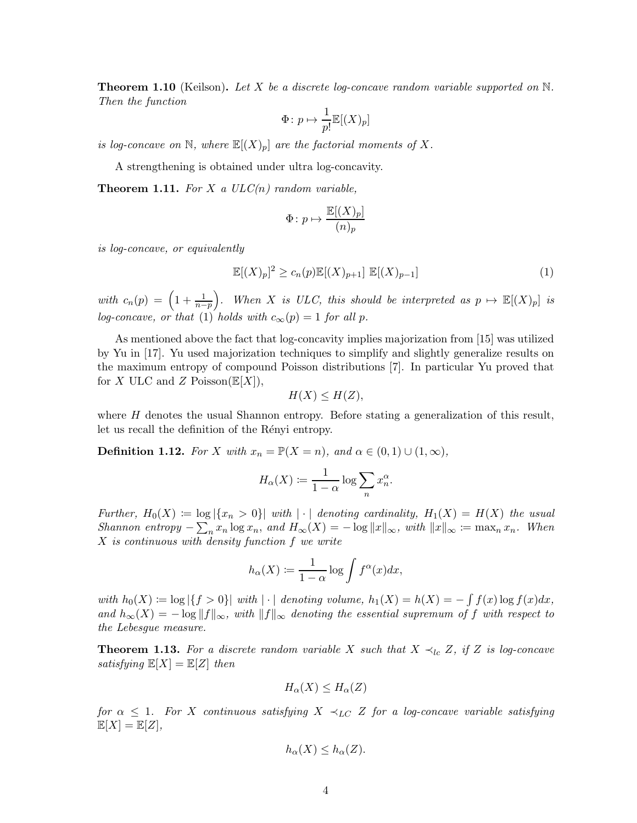**Theorem 1.10** (Keilson). Let X be a discrete log-concave random variable supported on  $\mathbb{N}$ . Then the function

$$
\Phi \colon p \mapsto \frac{1}{p!} \mathbb{E}[(X)_p]
$$

is log-concave on N, where  $\mathbb{E}[(X)_p]$  are the factorial moments of X.

A strengthening is obtained under ultra log-concavity.

**Theorem 1.11.** For X a  $ULC(n)$  random variable,

$$
\Phi \colon p \mapsto \frac{\mathbb{E}[(X)_p]}{(n)_p}
$$

is log-concave, or equivalently

$$
\mathbb{E}[(X)_p]^2 \ge c_n(p)\mathbb{E}[(X)_{p+1}] \mathbb{E}[(X)_{p-1}]
$$
 (1)

with  $c_n(p) = \left(1 + \frac{1}{n-p}\right)$ ). When X is ULC, this should be interpreted as  $p \mapsto \mathbb{E}[(X)_p]$  is log-concave, or that (1) holds with  $c_{\infty}(p) = 1$  for all p.

As mentioned above the fact that log-concavity implies majorization from [15] was utilized by Yu in [17]. Yu used majorization techniques to simplify and slightly generalize results on the maximum entropy of compound Poisson distributions [7]. In particular Yu proved that for X ULC and Z Poisson $(\mathbb{E}[X]),$ 

$$
H(X) \le H(Z),
$$

where  $H$  denotes the usual Shannon entropy. Before stating a generalization of this result, let us recall the definition of the Rényi entropy.

**Definition 1.12.** For X with  $x_n = \mathbb{P}(X = n)$ , and  $\alpha \in (0, 1) \cup (1, \infty)$ ,

$$
H_{\alpha}(X) := \frac{1}{1-\alpha} \log \sum_{n} x_n^{\alpha}.
$$

Further,  $H_0(X) := \log |\{x_n > 0\}|$  with  $|\cdot|$  denoting cardinality,  $H_1(X) = H(X)$  the usual Shannon entropy  $-\sum_{n} x_n \log x_n$ , and  $H_{\infty}(X) = -\log ||x||_{\infty}$ , with  $||x||_{\infty} := \max_{n} x_n$ . When X is continuous with density function f we write

$$
h_\alpha(X) \coloneqq \frac{1}{1-\alpha} \log \int f^\alpha(x) dx,
$$

with  $h_0(X) := \log |\{f > 0\}|$  with  $|\cdot|$  denoting volume,  $h_1(X) = h(X) = -\int f(x) \log f(x) dx$ , and  $h_{\infty}(X) = -\log ||f||_{\infty}$ , with  $||f||_{\infty}$  denoting the essential supremum of f with respect to the Lebesgue measure.

**Theorem 1.13.** For a discrete random variable X such that  $X \prec_{lc} Z$ , if Z is log-concave satisfying  $\mathbb{E}[X] = \mathbb{E}[Z]$  then

$$
H_{\alpha}(X) \le H_{\alpha}(Z)
$$

for  $\alpha \leq 1$ . For X continuous satisfying  $X \prec_{LC} Z$  for a log-concave variable satisfying  $\mathbb{E}[X] = \mathbb{E}[Z],$ 

$$
h_{\alpha}(X) \leq h_{\alpha}(Z).
$$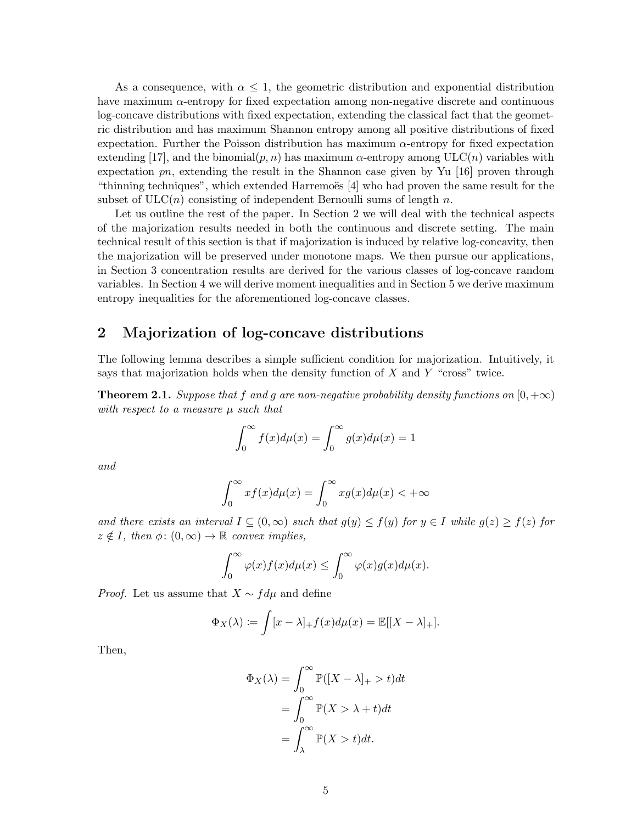As a consequence, with  $\alpha \leq 1$ , the geometric distribution and exponential distribution have maximum  $\alpha$ -entropy for fixed expectation among non-negative discrete and continuous log-concave distributions with fixed expectation, extending the classical fact that the geometric distribution and has maximum Shannon entropy among all positive distributions of fixed expectation. Further the Poisson distribution has maximum  $\alpha$ -entropy for fixed expectation extending [17], and the binomial $(p, n)$  has maximum  $\alpha$ -entropy among ULC $(n)$  variables with expectation  $pn$ , extending the result in the Shannon case given by Yu [16] proven through "thinning techniques", which extended Harremoës  $[4]$  who had proven the same result for the subset of  $ULC(n)$  consisting of independent Bernoulli sums of length n.

Let us outline the rest of the paper. In Section 2 we will deal with the technical aspects of the majorization results needed in both the continuous and discrete setting. The main technical result of this section is that if majorization is induced by relative log-concavity, then the majorization will be preserved under monotone maps. We then pursue our applications, in Section 3 concentration results are derived for the various classes of log-concave random variables. In Section 4 we will derive moment inequalities and in Section 5 we derive maximum entropy inequalities for the aforementioned log-concave classes.

## 2 Majorization of log-concave distributions

The following lemma describes a simple sufficient condition for majorization. Intuitively, it says that majorization holds when the density function of  $X$  and  $Y$  "cross" twice.

**Theorem 2.1.** Suppose that f and g are non-negative probability density functions on  $[0, +\infty)$ with respect to a measure  $\mu$  such that

$$
\int_0^\infty f(x)d\mu(x) = \int_0^\infty g(x)d\mu(x) = 1
$$

and

$$
\int_0^\infty x f(x) d\mu(x) = \int_0^\infty x g(x) d\mu(x) < +\infty
$$

and there exists an interval  $I \subseteq (0,\infty)$  such that  $g(y) \leq f(y)$  for  $y \in I$  while  $g(z) \geq f(z)$  for  $z \notin I$ , then  $\phi: (0,\infty) \to \mathbb{R}$  convex implies,

$$
\int_0^\infty \varphi(x)f(x)d\mu(x) \le \int_0^\infty \varphi(x)g(x)d\mu(x).
$$

*Proof.* Let us assume that  $X \sim f d\mu$  and define

$$
\Phi_X(\lambda) := \int [x - \lambda]_+ f(x) d\mu(x) = \mathbb{E}[[X - \lambda]_+].
$$

Then,

$$
\Phi_X(\lambda) = \int_0^\infty \mathbb{P}([X - \lambda]_+ > t) dt
$$

$$
= \int_0^\infty \mathbb{P}(X > \lambda + t) dt
$$

$$
= \int_\lambda^\infty \mathbb{P}(X > t) dt.
$$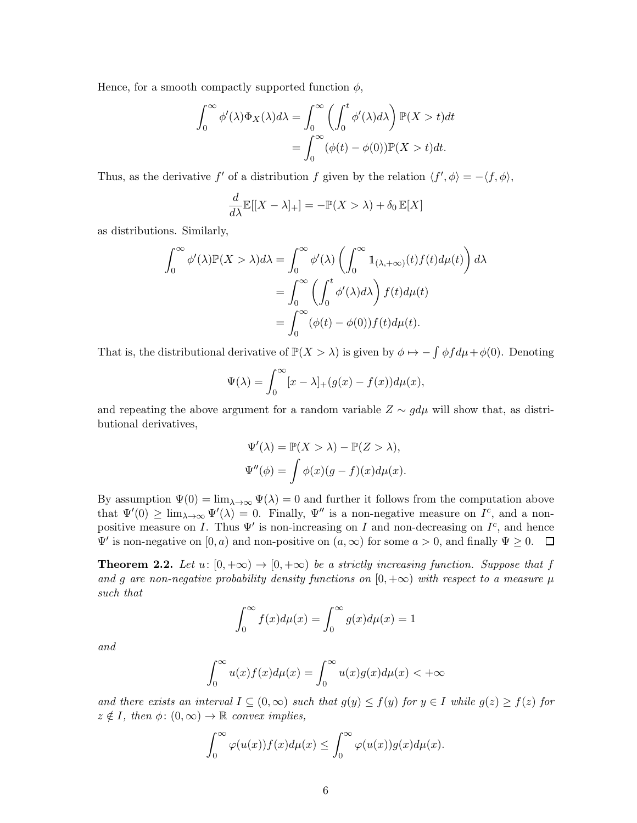Hence, for a smooth compactly supported function  $\phi$ ,

$$
\int_0^\infty \phi'(\lambda)\Phi_X(\lambda)d\lambda = \int_0^\infty \left(\int_0^t \phi'(\lambda)d\lambda\right)\mathbb{P}(X>t)dt
$$

$$
= \int_0^\infty (\phi(t) - \phi(0))\mathbb{P}(X>t)dt.
$$

Thus, as the derivative f' of a distribution f given by the relation  $\langle f', \phi \rangle = -\langle f, \phi \rangle$ ,

$$
\frac{d}{d\lambda}\mathbb{E}[[X-\lambda]_+] = -\mathbb{P}(X > \lambda) + \delta_0 \mathbb{E}[X]
$$

as distributions. Similarly,

$$
\int_0^\infty \phi'(\lambda) \mathbb{P}(X > \lambda) d\lambda = \int_0^\infty \phi'(\lambda) \left( \int_0^\infty \mathbb{1}_{(\lambda, +\infty)}(t) f(t) d\mu(t) \right) d\lambda
$$

$$
= \int_0^\infty \left( \int_0^t \phi'(\lambda) d\lambda \right) f(t) d\mu(t)
$$

$$
= \int_0^\infty (\phi(t) - \phi(0)) f(t) d\mu(t).
$$

That is, the distributional derivative of  $\mathbb{P}(X > \lambda)$  is given by  $\phi \mapsto -\int \phi f d\mu + \phi(0)$ . Denoting

$$
\Psi(\lambda) = \int_0^\infty [x - \lambda]_+(g(x) - f(x))d\mu(x),
$$

and repeating the above argument for a random variable  $Z \sim g d\mu$  will show that, as distributional derivatives,

$$
\Psi'(\lambda) = \mathbb{P}(X > \lambda) - \mathbb{P}(Z > \lambda),
$$
  

$$
\Psi''(\phi) = \int \phi(x)(g - f)(x)d\mu(x).
$$

By assumption  $\Psi(0) = \lim_{\lambda \to \infty} \Psi(\lambda) = 0$  and further it follows from the computation above that  $\Psi'(0) \ge \lim_{\lambda \to \infty} \Psi'(\lambda) = 0$ . Finally,  $\Psi''$  is a non-negative measure on  $I^c$ , and a nonpositive measure on I. Thus  $\Psi'$  is non-increasing on I and non-decreasing on  $I^c$ , and hence  $\Psi'$  is non-negative on  $[0, a)$  and non-positive on  $(a, \infty)$  for some  $a > 0$ , and finally  $\Psi \ge 0$ .

**Theorem 2.2.** Let  $u: [0, +\infty) \to [0, +\infty)$  be a strictly increasing function. Suppose that f and g are non-negative probability density functions on  $[0, +\infty)$  with respect to a measure  $\mu$ such that

$$
\int_0^\infty f(x)d\mu(x) = \int_0^\infty g(x)d\mu(x) = 1
$$

and

$$
\int_0^\infty u(x)f(x)d\mu(x) = \int_0^\infty u(x)g(x)d\mu(x) < +\infty
$$

and there exists an interval  $I \subseteq (0,\infty)$  such that  $g(y) \le f(y)$  for  $y \in I$  while  $g(z) \ge f(z)$  for  $z \notin I$ , then  $\phi: (0, \infty) \to \mathbb{R}$  convex implies,

$$
\int_0^\infty \varphi(u(x))f(x)d\mu(x) \le \int_0^\infty \varphi(u(x))g(x)d\mu(x).
$$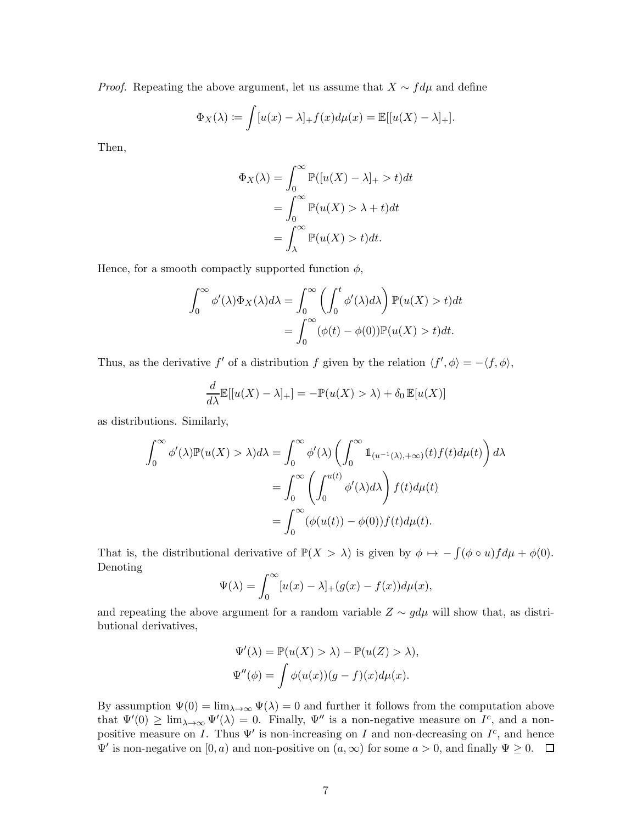*Proof.* Repeating the above argument, let us assume that  $X \sim f d\mu$  and define

$$
\Phi_X(\lambda) := \int [u(x) - \lambda]_+ f(x) d\mu(x) = \mathbb{E}[[u(X) - \lambda]_+].
$$

Then,

$$
\Phi_X(\lambda) = \int_0^\infty \mathbb{P}([u(X) - \lambda]_+ > t)dt
$$

$$
= \int_0^\infty \mathbb{P}(u(X) > \lambda + t)dt
$$

$$
= \int_\lambda^\infty \mathbb{P}(u(X) > t)dt.
$$

Hence, for a smooth compactly supported function  $\phi$ ,

$$
\int_0^\infty \phi'(\lambda)\Phi_X(\lambda)d\lambda = \int_0^\infty \left(\int_0^t \phi'(\lambda)d\lambda\right)\mathbb{P}(u(X) > t)dt
$$

$$
= \int_0^\infty (\phi(t) - \phi(0))\mathbb{P}(u(X) > t)dt.
$$

Thus, as the derivative f' of a distribution f given by the relation  $\langle f', \phi \rangle = -\langle f, \phi \rangle$ ,

$$
\frac{d}{d\lambda}\mathbb{E}[[u(X) - \lambda]_{+}] = -\mathbb{P}(u(X) > \lambda) + \delta_0 \mathbb{E}[u(X)]
$$

as distributions. Similarly,

$$
\int_0^\infty \phi'(\lambda) \mathbb{P}(u(X) > \lambda) d\lambda = \int_0^\infty \phi'(\lambda) \left( \int_0^\infty \mathbb{1}_{(u^{-1}(\lambda), +\infty)}(t) f(t) d\mu(t) \right) d\lambda
$$

$$
= \int_0^\infty \left( \int_0^{u(t)} \phi'(\lambda) d\lambda \right) f(t) d\mu(t)
$$

$$
= \int_0^\infty (\phi(u(t)) - \phi(0)) f(t) d\mu(t).
$$

That is, the distributional derivative of  $\mathbb{P}(X > \lambda)$  is given by  $\phi \mapsto -\int (\phi \circ u) f d\mu + \phi(0)$ . Denoting

$$
\Psi(\lambda) = \int_0^\infty [u(x) - \lambda]_+(g(x) - f(x))d\mu(x),
$$

and repeating the above argument for a random variable  $Z \sim g d\mu$  will show that, as distributional derivatives,

$$
\Psi'(\lambda) = \mathbb{P}(u(X) > \lambda) - \mathbb{P}(u(Z) > \lambda),
$$
  

$$
\Psi''(\phi) = \int \phi(u(x))(g - f)(x)d\mu(x).
$$

By assumption  $\Psi(0) = \lim_{\lambda \to \infty} \Psi(\lambda) = 0$  and further it follows from the computation above that  $\Psi'(0) \ge \lim_{\lambda \to \infty} \Psi'(\lambda) = 0$ . Finally,  $\Psi''$  is a non-negative measure on  $I^c$ , and a nonpositive measure on I. Thus  $\Psi'$  is non-increasing on I and non-decreasing on  $I^c$ , and hence  $\Psi'$  is non-negative on  $[0, a)$  and non-positive on  $(a, \infty)$  for some  $a > 0$ , and finally  $\Psi \ge 0$ .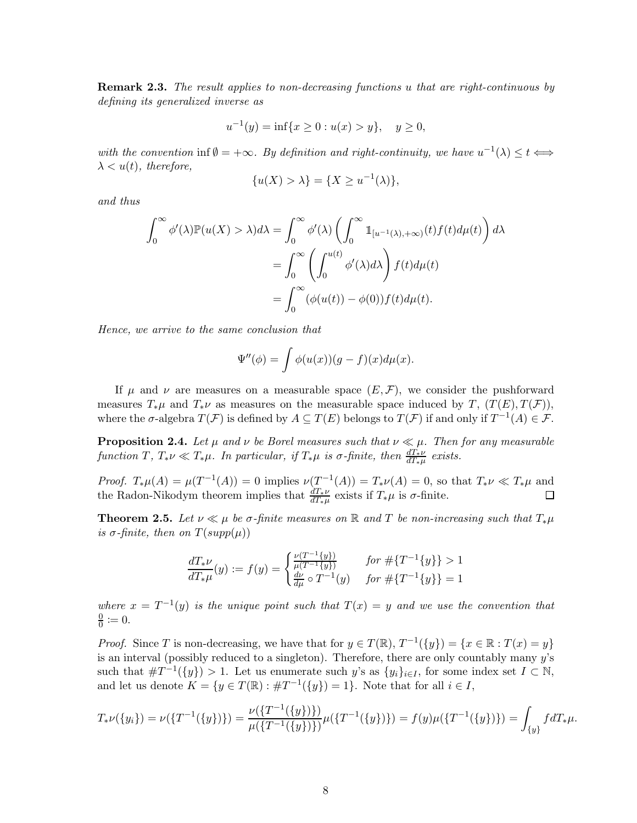**Remark 2.3.** The result applies to non-decreasing functions u that are right-continuous by defining its generalized inverse as

$$
u^{-1}(y) = \inf\{x \ge 0 : u(x) > y\}, \quad y \ge 0,
$$

with the convention inf $\emptyset = +\infty$ . By definition and right-continuity, we have  $u^{-1}(\lambda) \leq t \Longleftrightarrow$  $\lambda < u(t)$ , therefore,

$$
\{u(X) > \lambda\} = \{X \ge u^{-1}(\lambda)\},\
$$

and thus

$$
\int_0^\infty \phi'(\lambda) \mathbb{P}(u(X) > \lambda) d\lambda = \int_0^\infty \phi'(\lambda) \left( \int_0^\infty \mathbb{1}_{[u^{-1}(\lambda), +\infty)}(t) f(t) d\mu(t) \right) d\lambda
$$

$$
= \int_0^\infty \left( \int_0^{u(t)} \phi'(\lambda) d\lambda \right) f(t) d\mu(t)
$$

$$
= \int_0^\infty (\phi(u(t)) - \phi(0)) f(t) d\mu(t).
$$

Hence, we arrive to the same conclusion that

$$
\Psi''(\phi) = \int \phi(u(x))(g - f)(x)d\mu(x).
$$

If  $\mu$  and  $\nu$  are measures on a measurable space  $(E, \mathcal{F})$ , we consider the pushforward measures  $T_*\mu$  and  $T_*\nu$  as measures on the measurable space induced by T,  $(T(E), T(\mathcal{F}))$ , where the  $\sigma$ -algebra  $T(\mathcal{F})$  is defined by  $A \subseteq T(E)$  belongs to  $T(\mathcal{F})$  if and only if  $T^{-1}(A) \in \mathcal{F}$ .

**Proposition 2.4.** Let  $\mu$  and  $\nu$  be Borel measures such that  $\nu \ll \mu$ . Then for any measurable function  $T, T_*\nu \ll T_*\mu$ . In particular, if  $T_*\mu$  is  $\sigma$ -finite, then  $\frac{dT_*\nu}{dT_*\mu}$  exists.

*Proof.*  $T_*\mu(A) = \mu(T^{-1}(A)) = 0$  implies  $\nu(T^{-1}(A)) = T_*\nu(A) = 0$ , so that  $T_*\nu \ll T_*\mu$  and the Radon-Nikodym theorem implies that  $\frac{dT_*\nu}{dT_*\mu}$  exists if  $T_*\mu$  is  $\sigma$ -finite.  $\Box$ 

**Theorem 2.5.** Let  $\nu \ll \mu$  be  $\sigma$ -finite measures on R and T be non-increasing such that  $T_*\mu$ is  $\sigma$ -finite, then on  $T(supp(\mu))$ 

$$
\frac{dT_*\nu}{dT_*\mu}(y) := f(y) = \begin{cases} \frac{\nu(T^{-1}\{y\})}{\mu(T^{-1}\{y\})} & \text{for } \#\{T^{-1}\{y\}\} > 1\\ \frac{d\nu}{d\mu} \circ T^{-1}(y) & \text{for } \#\{T^{-1}\{y\}\} = 1 \end{cases}
$$

where  $x = T^{-1}(y)$  is the unique point such that  $T(x) = y$  and we use the convention that  $\overline{0}$  $\frac{0}{0} \coloneqq 0.$ 

*Proof.* Since T is non-decreasing, we have that for  $y \in T(\mathbb{R})$ ,  $T^{-1}(\{y\}) = \{x \in \mathbb{R} : T(x) = y\}$ is an interval (possibly reduced to a singleton). Therefore, there are only countably many  $y$ 's such that  $\#T^{-1}(\{y\}) > 1$ . Let us enumerate such y's as  $\{y_i\}_{i \in I}$ , for some index set  $I \subset \mathbb{N}$ , and let us denote  $K = \{y \in T(\mathbb{R}) : \#T^{-1}(\{y\}) = 1\}$ . Note that for all  $i \in I$ ,

$$
T_*\nu(\{y_i\}) = \nu(\{T^{-1}(\{y\})\}) = \frac{\nu(\{T^{-1}(\{y\})\})}{\mu(\{T^{-1}(\{y\})\})} \mu(\{T^{-1}(\{y\})\}) = f(y)\mu(\{T^{-1}(\{y\})\}) = \int_{\{y\}} f dT_*\mu.
$$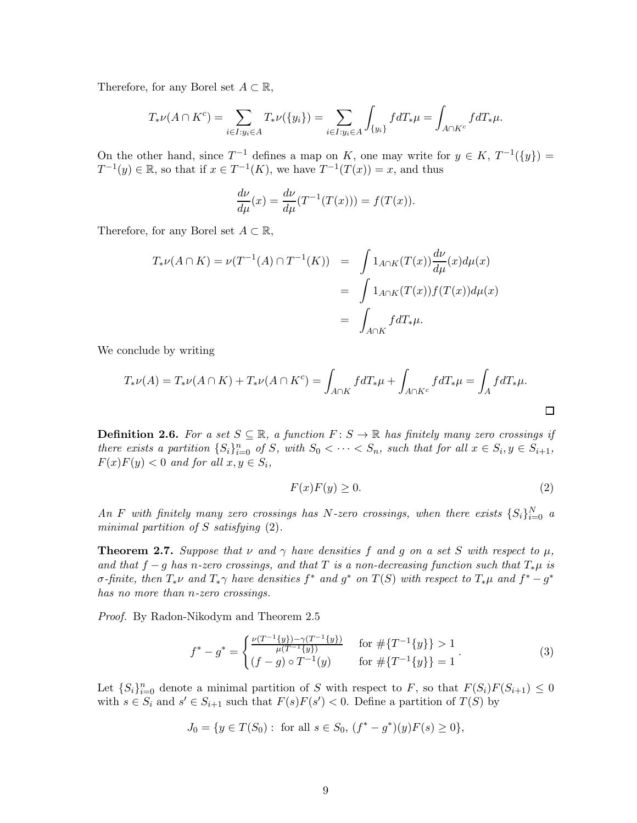Therefore, for any Borel set  $A \subset \mathbb{R}$ ,

$$
T_*\nu(A \cap K^c) = \sum_{i \in I: y_i \in A} T_*\nu(\{y_i\}) = \sum_{i \in I: y_i \in A} \int_{\{y_i\}} f dT_*\mu = \int_{A \cap K^c} f dT_*\mu.
$$

On the other hand, since  $T^{-1}$  defines a map on K, one may write for  $y \in K$ ,  $T^{-1}(\{y\}) =$  $T^{-1}(y) \in \mathbb{R}$ , so that if  $x \in T^{-1}(K)$ , we have  $T^{-1}(T(x)) = x$ , and thus

$$
\frac{d\nu}{d\mu}(x) = \frac{d\nu}{d\mu}(T^{-1}(T(x))) = f(T(x)).
$$

Therefore, for any Borel set  $A \subset \mathbb{R}$ ,

$$
T_*\nu(A \cap K) = \nu(T^{-1}(A) \cap T^{-1}(K)) = \int 1_{A \cap K}(T(x)) \frac{d\nu}{d\mu}(x) d\mu(x)
$$
  
= 
$$
\int 1_{A \cap K}(T(x)) f(T(x)) d\mu(x)
$$
  
= 
$$
\int_{A \cap K} f dT_*\mu.
$$

We conclude by writing

$$
T_*\nu(A) = T_*\nu(A \cap K) + T_*\nu(A \cap K^c) = \int_{A \cap K} f dT_*\mu + \int_{A \cap K^c} f dT_*\mu = \int_A f dT_*\mu.
$$

**Definition 2.6.** For a set  $S \subseteq \mathbb{R}$ , a function  $F: S \to \mathbb{R}$  has finitely many zero crossings if there exists a partition  $\{S_i\}_{i=0}^n$  of S, with  $S_0 < \cdots < S_n$ , such that for all  $x \in S_i$ ,  $y \in S_{i+1}$ ,  $F(x)F(y) < 0$  and for all  $x, y \in S_i$ ,

$$
F(x)F(y) \ge 0. \tag{2}
$$

An F with finitely many zero crossings has N-zero crossings, when there exists  $\{S_i\}_{i=0}^N$  a minimal partition of  $S$  satisfying  $(2)$ .

**Theorem 2.7.** Suppose that  $\nu$  and  $\gamma$  have densities f and q on a set S with respect to  $\mu$ , and that  $f-g$  has n-zero crossings, and that T is a non-decreasing function such that  $T_*\mu$  is  $\sigma$ -finite, then  $T_*\nu$  and  $T_*\gamma$  have densities  $f^*$  and  $g^*$  on  $T(S)$  with respect to  $T_*\mu$  and  $f^*-g^*$ has no more than *n*-zero crossings.

Proof. By Radon-Nikodym and Theorem 2.5

$$
f^* - g^* = \begin{cases} \frac{\nu(T^{-1}\{y\}) - \gamma(T^{-1}\{y\})}{\mu(T^{-1}\{y\})} & \text{for } \#\{T^{-1}\{y\}\} > 1\\ (f - g) \circ T^{-1}(y) & \text{for } \#\{T^{-1}\{y\}\} = 1 \end{cases} \tag{3}
$$

Let  $\{S_i\}_{i=0}^n$  denote a minimal partition of S with respect to F, so that  $F(S_i)F(S_{i+1}) \leq 0$ with  $s \in S_i$  and  $s' \in S_{i+1}$  such that  $F(s)F(s') < 0$ . Define a partition of  $T(S)$  by

$$
J_0 = \{ y \in T(S_0) : \text{ for all } s \in S_0, \, (f^* - g^*)(y)F(s) \ge 0 \},
$$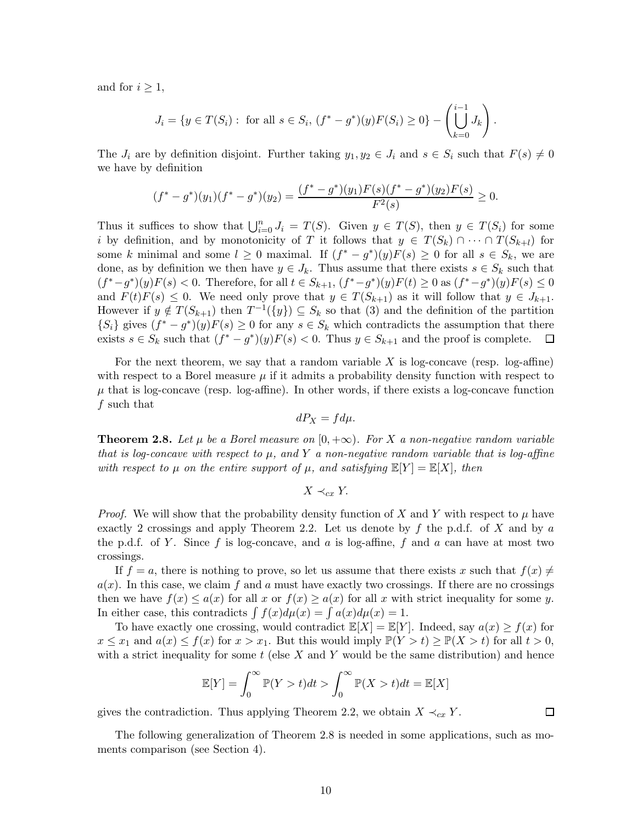and for  $i \geq 1$ ,

$$
J_i = \{ y \in T(S_i) : \text{ for all } s \in S_i, (f^* - g^*)(y)F(S_i) \ge 0 \} - \left( \bigcup_{k=0}^{i-1} J_k \right).
$$

The  $J_i$  are by definition disjoint. Further taking  $y_1, y_2 \in J_i$  and  $s \in S_i$  such that  $F(s) \neq 0$ we have by definition

$$
(f^* - g^*)(y_1)(f^* - g^*)(y_2) = \frac{(f^* - g^*)(y_1)F(s)(f^* - g^*)(y_2)F(s)}{F^2(s)} \ge 0.
$$

Thus it suffices to show that  $\bigcup_{i=0}^n J_i = T(S)$ . Given  $y \in T(S)$ , then  $y \in T(S_i)$  for some i by definition, and by monotonicity of T it follows that  $y \in T(S_k) \cap \cdots \cap T(S_{k+l})$  for some k minimal and some  $l \geq 0$  maximal. If  $(f^* - g^*)(y)F(s) \geq 0$  for all  $s \in S_k$ , we are done, as by definition we then have  $y \in J_k$ . Thus assume that there exists  $s \in S_k$  such that  $(f^* - g^*)(y)F(s) < 0$ . Therefore, for all  $t \in S_{k+1}$ ,  $(f^* - g^*)(y)F(t) \ge 0$  as  $(f^* - g^*)(y)F(s) \le 0$ and  $F(t)F(s) \leq 0$ . We need only prove that  $y \in T(S_{k+1})$  as it will follow that  $y \in J_{k+1}$ . However if  $y \notin T(S_{k+1})$  then  $T^{-1}(\{y\}) \subseteq S_k$  so that (3) and the definition of the partition  ${S_i}$  gives  $(f^* - g^*)(y)F(s) \ge 0$  for any  $s \in S_k$  which contradicts the assumption that there exists  $s \in S_k$  such that  $(f^* - g^*)(y)F(s) < 0$ . Thus  $y \in S_{k+1}$  and the proof is complete.

For the next theorem, we say that a random variable  $X$  is log-concave (resp. log-affine) with respect to a Borel measure  $\mu$  if it admits a probability density function with respect to  $\mu$  that is log-concave (resp. log-affine). In other words, if there exists a log-concave function f such that

$$
dP_X = fd\mu.
$$

**Theorem 2.8.** Let  $\mu$  be a Borel measure on  $[0, +\infty)$ . For X a non-negative random variable that is log-concave with respect to  $\mu$ , and Y a non-negative random variable that is log-affine with respect to  $\mu$  on the entire support of  $\mu$ , and satisfying  $\mathbb{E}[Y] = \mathbb{E}[X]$ , then

$$
X \prec_{cx} Y.
$$

*Proof.* We will show that the probability density function of X and Y with respect to  $\mu$  have exactly 2 crossings and apply Theorem 2.2. Let us denote by f the p.d.f. of X and by a the p.d.f. of Y. Since f is log-concave, and a is log-affine, f and a can have at most two crossings.

If  $f = a$ , there is nothing to prove, so let us assume that there exists x such that  $f(x) \neq$  $a(x)$ . In this case, we claim f and a must have exactly two crossings. If there are no crossings then we have  $f(x) \leq a(x)$  for all x or  $f(x) \geq a(x)$  for all x with strict inequality for some y. In either case, this contradicts  $\int f(x)d\mu(x) = \int a(x)d\mu(x) = 1$ .

To have exactly one crossing, would contradict  $\mathbb{E}[X] = \mathbb{E}[Y]$ . Indeed, say  $a(x) \ge f(x)$  for  $x \leq x_1$  and  $a(x) \leq f(x)$  for  $x > x_1$ . But this would imply  $\mathbb{P}(Y > t) \geq \mathbb{P}(X > t)$  for all  $t > 0$ , with a strict inequality for some  $t$  (else X and Y would be the same distribution) and hence

$$
\mathbb{E}[Y] = \int_0^\infty \mathbb{P}(Y > t)dt > \int_0^\infty \mathbb{P}(X > t)dt = \mathbb{E}[X]
$$

gives the contradiction. Thus applying Theorem 2.2, we obtain  $X \prec_{cx} Y$ .

 $\Box$ 

The following generalization of Theorem 2.8 is needed in some applications, such as moments comparison (see Section 4).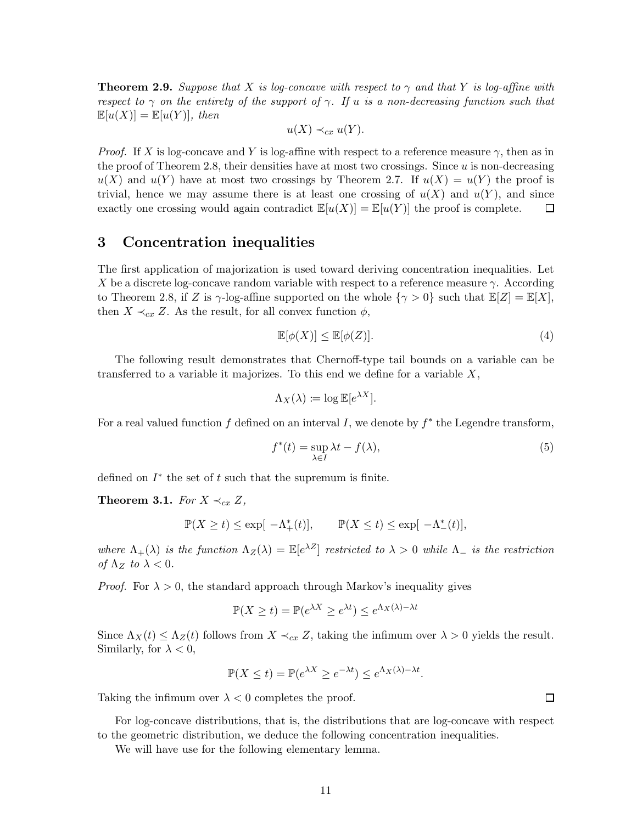**Theorem 2.9.** Suppose that X is log-concave with respect to  $\gamma$  and that Y is log-affine with respect to  $\gamma$  on the entirety of the support of  $\gamma$ . If u is a non-decreasing function such that  $\mathbb{E}[u(X)] = \mathbb{E}[u(Y)],$  then

$$
u(X) \prec_{cx} u(Y).
$$

*Proof.* If X is log-concave and Y is log-affine with respect to a reference measure  $\gamma$ , then as in the proof of Theorem 2.8, their densities have at most two crossings. Since  $u$  is non-decreasing  $u(X)$  and  $u(Y)$  have at most two crossings by Theorem 2.7. If  $u(X) = u(Y)$  the proof is trivial, hence we may assume there is at least one crossing of  $u(X)$  and  $u(Y)$ , and since exactly one crossing would again contradict  $\mathbb{E}[u(X)] = \mathbb{E}[u(Y)]$  the proof is complete.  $\Box$ 

### 3 Concentration inequalities

The first application of majorization is used toward deriving concentration inequalities. Let X be a discrete log-concave random variable with respect to a reference measure  $\gamma$ . According to Theorem 2.8, if Z is  $\gamma$ -log-affine supported on the whole  $\{\gamma > 0\}$  such that  $\mathbb{E}[Z] = \mathbb{E}[X]$ , then  $X \prec_{cx} Z$ . As the result, for all convex function  $\phi$ ,

$$
\mathbb{E}[\phi(X)] \le \mathbb{E}[\phi(Z)].\tag{4}
$$

The following result demonstrates that Chernoff-type tail bounds on a variable can be transferred to a variable it majorizes. To this end we define for a variable X,

$$
\Lambda_X(\lambda) \coloneqq \log \mathbb{E}[e^{\lambda X}].
$$

For a real valued function  $f$  defined on an interval  $I$ , we denote by  $f^*$  the Legendre transform,

$$
f^*(t) = \sup_{\lambda \in I} \lambda t - f(\lambda),\tag{5}
$$

defined on  $I^*$  the set of  $t$  such that the supremum is finite.

**Theorem 3.1.** For  $X \prec_{cx} Z$ ,

$$
\mathbb{P}(X \ge t) \le \exp[-\Lambda_+^*(t)], \qquad \mathbb{P}(X \le t) \le \exp[-\Lambda_-^*(t)],
$$

where  $\Lambda_+(\lambda)$  is the function  $\Lambda_Z(\lambda) = \mathbb{E}[e^{\lambda Z}]$  restricted to  $\lambda > 0$  while  $\Lambda_-$  is the restriction of  $\Lambda_Z$  to  $\lambda < 0$ .

*Proof.* For  $\lambda > 0$ , the standard approach through Markov's inequality gives

$$
\mathbb{P}(X \ge t) = \mathbb{P}(e^{\lambda X} \ge e^{\lambda t}) \le e^{\Lambda_X(\lambda) - \lambda t}
$$

Since  $\Lambda_X(t) \leq \Lambda_Z(t)$  follows from  $X \prec_{cx} Z$ , taking the infimum over  $\lambda > 0$  yields the result. Similarly, for  $\lambda < 0$ ,

$$
\mathbb{P}(X \le t) = \mathbb{P}(e^{\lambda X} \ge e^{-\lambda t}) \le e^{\Lambda_X(\lambda) - \lambda t}.
$$

Taking the infimum over  $\lambda < 0$  completes the proof.

For log-concave distributions, that is, the distributions that are log-concave with respect to the geometric distribution, we deduce the following concentration inequalities.

We will have use for the following elementary lemma.

 $\Box$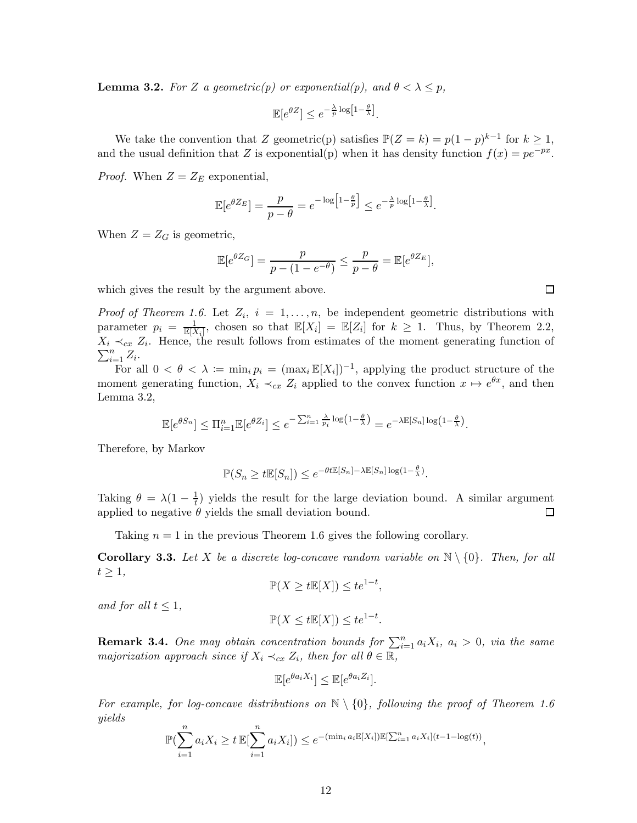**Lemma 3.2.** For Z a geometric(p) or exponential(p), and  $\theta < \lambda \leq p$ ,

$$
\mathbb{E}[e^{\theta Z}] \le e^{-\frac{\lambda}{p} \log \left[1 - \frac{\theta}{\lambda}\right]}.
$$

We take the convention that Z geometric(p) satisfies  $\mathbb{P}(Z = k) = p(1-p)^{k-1}$  for  $k \geq 1$ , and the usual definition that Z is exponential(p) when it has density function  $f(x) = pe^{-px}$ .

*Proof.* When  $Z = Z_E$  exponential,

$$
\mathbb{E}[e^{\theta Z_E}] = \frac{p}{p-\theta} = e^{-\log\left[1-\frac{\theta}{p}\right]} \leq e^{-\frac{\lambda}{p}\log\left[1-\frac{\theta}{\lambda}\right]}.
$$

When  $Z = Z_G$  is geometric,

$$
\mathbb{E}[e^{\theta Z_G}] = \frac{p}{p - (1 - e^{-\theta})} \le \frac{p}{p - \theta} = \mathbb{E}[e^{\theta Z_E}],
$$

which gives the result by the argument above.

*Proof of Theorem 1.6.* Let  $Z_i$ ,  $i = 1, \ldots, n$ , be independent geometric distributions with parameter  $p_i = \frac{1}{\mathbb{E}[X_i]}$ , chosen so that  $\mathbb{E}[X_i] = \mathbb{E}[Z_i]$  for  $k \ge 1$ . Thus, by Theorem 2.2,  $X_i \prec_{cx} Z_i$ . Hence, the result follows from estimates of the moment generating function of  $\sum_{i=1}^n Z_i$ .

For all  $0 < \theta < \lambda := \min_i p_i = (\max_i \mathbb{E}[X_i])^{-1}$ , applying the product structure of the moment generating function,  $X_i \prec_{cx} Z_i$  applied to the convex function  $x \mapsto e^{\theta x}$ , and then Lemma 3.2,

$$
\mathbb{E}[e^{\theta S_n}] \le \Pi_{i=1}^n \mathbb{E}[e^{\theta Z_i}] \le e^{-\sum_{i=1}^n \frac{\lambda}{p_i} \log \left(1 - \frac{\theta}{\lambda}\right)} = e^{-\lambda \mathbb{E}[S_n] \log \left(1 - \frac{\theta}{\lambda}\right)}.
$$

Therefore, by Markov

$$
\mathbb{P}(S_n \ge t \mathbb{E}[S_n]) \le e^{-\theta t \mathbb{E}[S_n] - \lambda \mathbb{E}[S_n] \log(1 - \frac{\theta}{\lambda})}.
$$

Taking  $\theta = \lambda(1 - \frac{1}{t})$  $\frac{1}{t}$ ) yields the result for the large deviation bound. A similar argument applied to negative  $\theta$  yields the small deviation bound.  $\Box$ 

Taking  $n = 1$  in the previous Theorem 1.6 gives the following corollary.

**Corollary 3.3.** Let X be a discrete log-concave random variable on  $\mathbb{N} \setminus \{0\}$ . Then, for all  $t \geq 1$ ,

$$
\mathbb{P}(X \ge t\mathbb{E}[X]) \le t e^{1-t},
$$

and for all  $t \leq 1$ ,

$$
\mathbb{P}(X \le t\mathbb{E}[X]) \le t e^{1-t}.
$$

**Remark 3.4.** One may obtain concentration bounds for  $\sum_{i=1}^{n} a_i X_i$ ,  $a_i > 0$ , via the same majorization approach since if  $X_i \prec_{cx} Z_i$ , then for all  $\theta \in \mathbb{R}$ ,

$$
\mathbb{E}[e^{\theta a_i X_i}] \leq \mathbb{E}[e^{\theta a_i Z_i}].
$$

For example, for log-concave distributions on  $\mathbb{N} \setminus \{0\}$ , following the proof of Theorem 1.6 yields

$$
\mathbb{P}(\sum_{i=1}^n a_i X_i \ge t \mathbb{E}[\sum_{i=1}^n a_i X_i]) \le e^{-\left(\min_i a_i \mathbb{E}[X_i]\right) \mathbb{E}[\sum_{i=1}^n a_i X_i](t-1-\log(t))},
$$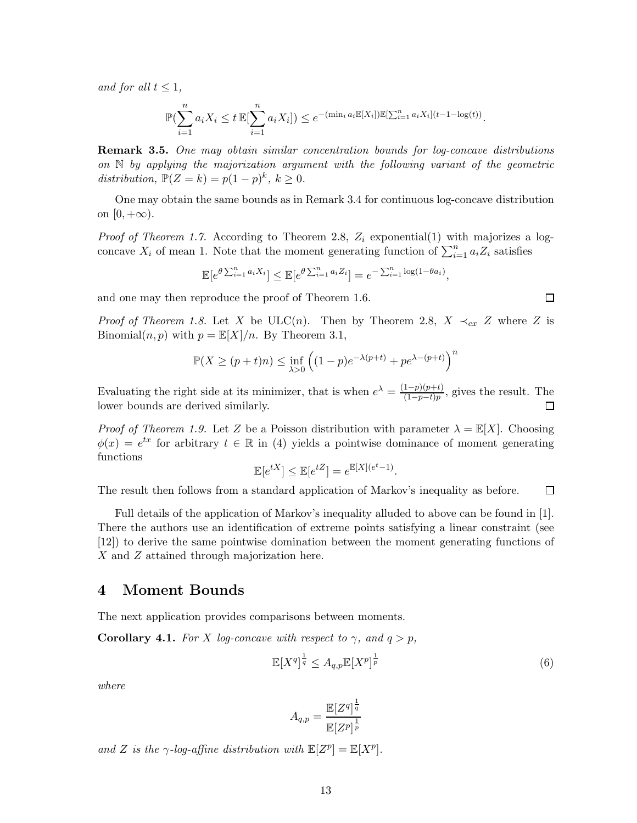and for all  $t \leq 1$ ,

$$
\mathbb{P}(\sum_{i=1}^{n} a_i X_i \le t \mathbb{E}[\sum_{i=1}^{n} a_i X_i]) \le e^{-\left(\min_i a_i \mathbb{E}[X_i]\right) \mathbb{E}[\sum_{i=1}^{n} a_i X_i](t-1-\log(t))}.
$$

**Remark 3.5.** One may obtain similar concentration bounds for log-concave distributions on  $\mathbb N$  by applying the majorization argument with the following variant of the geometric distribution,  $\mathbb{P}(Z = k) = p(1-p)^k$ ,  $k \ge 0$ .

One may obtain the same bounds as in Remark 3.4 for continuous log-concave distribution on  $[0, +\infty)$ .

*Proof of Theorem 1.7.* According to Theorem 2.8,  $Z_i$  exponential(1) with majorizes a logconcave  $X_i$  of mean 1. Note that the moment generating function of  $\sum_{i=1}^n a_i Z_i$  satisfies

$$
\mathbb{E}[e^{\theta \sum_{i=1}^n a_i X_i}] \leq \mathbb{E}[e^{\theta \sum_{i=1}^n a_i Z_i}] = e^{-\sum_{i=1}^n \log(1 - \theta a_i)},
$$

and one may then reproduce the proof of Theorem 1.6.

*Proof of Theorem 1.8.* Let X be ULC(n). Then by Theorem 2.8,  $X \prec_{cx} Z$  where Z is Binomial $(n, p)$  with  $p = \mathbb{E}[X]/n$ . By Theorem 3.1,

$$
\mathbb{P}(X \ge (p+t)n) \le \inf_{\lambda > 0} \left( (1-p)e^{-\lambda(p+t)} + pe^{\lambda - (p+t)} \right)^n
$$

Evaluating the right side at its minimizer, that is when  $e^{\lambda} = \frac{(1-p)(p+t)}{(1-p-t)n}$  $\frac{1-p}{(1-p-t)p}$ , gives the result. The  $\Box$ lower bounds are derived similarly.

*Proof of Theorem 1.9.* Let Z be a Poisson distribution with parameter  $\lambda = \mathbb{E}[X]$ . Choosing  $\phi(x) = e^{tx}$  for arbitrary  $t \in \mathbb{R}$  in (4) yields a pointwise dominance of moment generating functions

$$
\mathbb{E}[e^{tX}] \le \mathbb{E}[e^{tZ}] = e^{\mathbb{E}[X](e^t - 1)}.
$$

The result then follows from a standard application of Markov's inequality as before.  $\Box$ 

Full details of the application of Markov's inequality alluded to above can be found in [1]. There the authors use an identification of extreme points satisfying a linear constraint (see [12]) to derive the same pointwise domination between the moment generating functions of X and Z attained through majorization here.

#### 4 Moment Bounds

The next application provides comparisons between moments.

**Corollary 4.1.** For X log-concave with respect to  $\gamma$ , and  $q > p$ ,

$$
\mathbb{E}[X^q]^{\frac{1}{q}} \leq A_{q,p} \mathbb{E}[X^p]^{\frac{1}{p}} \tag{6}
$$

where

$$
A_{q,p} = \frac{\mathbb{E}[Z^q]^{\frac{1}{q}}}{\mathbb{E}[Z^p]^{\frac{1}{p}}}
$$

and Z is the  $\gamma$ -log-affine distribution with  $\mathbb{E}[Z^p] = \mathbb{E}[X^p]$ .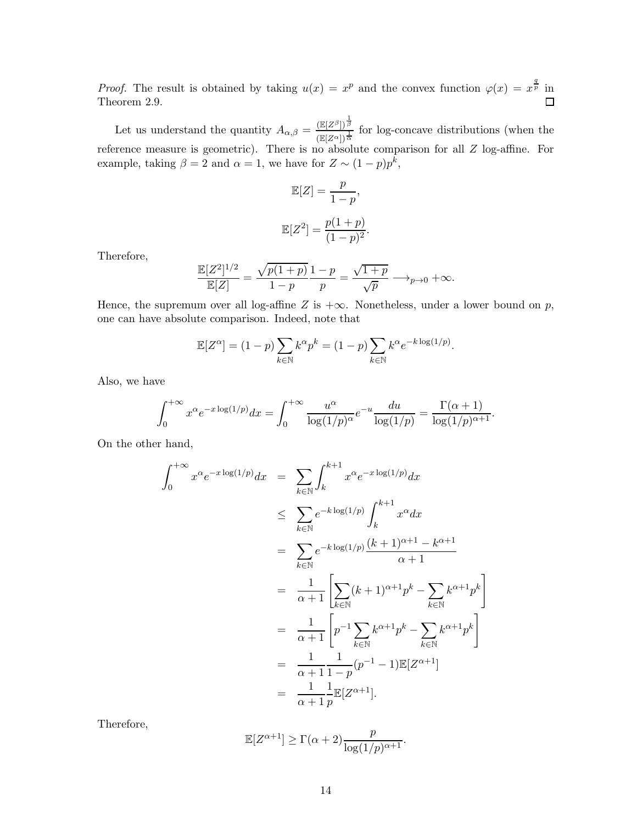*Proof.* The result is obtained by taking  $u(x) = x^p$  and the convex function  $\varphi(x) = x^{\frac{q}{p}}$  in Theorem 2.9.  $\Box$ 

Let us understand the quantity  $A_{\alpha,\beta} = \frac{(\mathbb{E}[Z^{\beta}])^{\frac{1}{\beta}}}{(\mathbb{E}[Z^{\alpha}])^{\frac{1}{\beta}}}$  $\frac{\left(\mathbb{E}[Z^{\alpha}]\right)^{\alpha}}{\left(\mathbb{E}[Z^{\alpha}]\right)^{\frac{1}{\alpha}}}$  for log-concave distributions (when the reference measure is geometric). There is no absolute comparison for all Z log-affine. For example, taking  $\beta = 2$  and  $\alpha = 1$ , we have for  $Z \sim (1 - p)p^k$ ,

$$
\mathbb{E}[Z] = \frac{p}{1-p},
$$

$$
\mathbb{E}[Z^2] = \frac{p(1+p)}{(1-p)^2}.
$$

Therefore,

$$
\frac{\mathbb{E}[Z^2]^{1/2}}{\mathbb{E}[Z]} = \frac{\sqrt{p(1+p)}}{1-p} \frac{1-p}{p} = \frac{\sqrt{1+p}}{\sqrt{p}} \longrightarrow_{p \to 0} +\infty.
$$

Hence, the supremum over all log-affine Z is  $+\infty$ . Nonetheless, under a lower bound on p, one can have absolute comparison. Indeed, note that

$$
\mathbb{E}[Z^{\alpha}] = (1-p) \sum_{k \in \mathbb{N}} k^{\alpha} p^k = (1-p) \sum_{k \in \mathbb{N}} k^{\alpha} e^{-k \log(1/p)}.
$$

Also, we have

$$
\int_0^{+\infty} x^{\alpha} e^{-x \log(1/p)} dx = \int_0^{+\infty} \frac{u^{\alpha}}{\log(1/p)^{\alpha}} e^{-u} \frac{du}{\log(1/p)} = \frac{\Gamma(\alpha+1)}{\log(1/p)^{\alpha+1}}.
$$

On the other hand,

$$
\int_{0}^{+\infty} x^{\alpha} e^{-x \log(1/p)} dx = \sum_{k \in \mathbb{N}} \int_{k}^{k+1} x^{\alpha} e^{-x \log(1/p)} dx
$$
  
\n
$$
\leq \sum_{k \in \mathbb{N}} e^{-k \log(1/p)} \int_{k}^{k+1} x^{\alpha} dx
$$
  
\n
$$
= \sum_{k \in \mathbb{N}} e^{-k \log(1/p)} \frac{(k+1)^{\alpha+1} - k^{\alpha+1}}{\alpha+1}
$$
  
\n
$$
= \frac{1}{\alpha+1} \left[ \sum_{k \in \mathbb{N}} (k+1)^{\alpha+1} p^{k} - \sum_{k \in \mathbb{N}} k^{\alpha+1} p^{k} \right]
$$
  
\n
$$
= \frac{1}{\alpha+1} \left[ p^{-1} \sum_{k \in \mathbb{N}} k^{\alpha+1} p^{k} - \sum_{k \in \mathbb{N}} k^{\alpha+1} p^{k} \right]
$$
  
\n
$$
= \frac{1}{\alpha+1} \frac{1}{1-p} (p^{-1} - 1) \mathbb{E}[Z^{\alpha+1}]
$$
  
\n
$$
= \frac{1}{\alpha+1} \frac{1}{p} \mathbb{E}[Z^{\alpha+1}].
$$

Therefore,

$$
\mathbb{E}[Z^{\alpha+1}] \ge \Gamma(\alpha+2) \frac{p}{\log(1/p)^{\alpha+1}}.
$$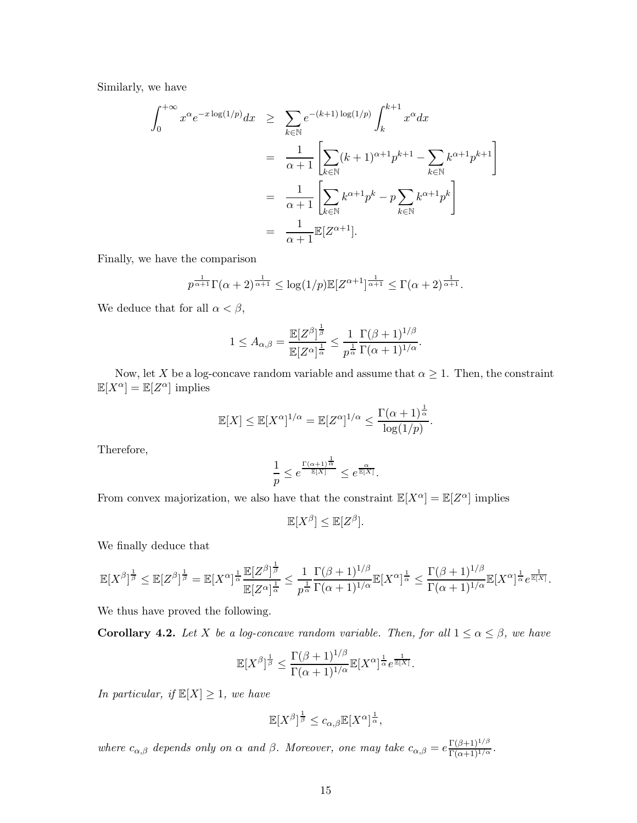Similarly, we have

$$
\int_0^{+\infty} x^{\alpha} e^{-x \log(1/p)} dx \ge \sum_{k \in \mathbb{N}} e^{-(k+1) \log(1/p)} \int_k^{k+1} x^{\alpha} dx
$$

$$
= \frac{1}{\alpha+1} \left[ \sum_{k \in \mathbb{N}} (k+1)^{\alpha+1} p^{k+1} - \sum_{k \in \mathbb{N}} k^{\alpha+1} p^{k+1} \right]
$$

$$
= \frac{1}{\alpha+1} \left[ \sum_{k \in \mathbb{N}} k^{\alpha+1} p^k - p \sum_{k \in \mathbb{N}} k^{\alpha+1} p^k \right]
$$

$$
= \frac{1}{\alpha+1} \mathbb{E}[Z^{\alpha+1}].
$$

Finally, we have the comparison

$$
p^{\frac{1}{\alpha+1}}\Gamma(\alpha+2)^{\frac{1}{\alpha+1}} \leq \log(1/p)\mathbb{E}[Z^{\alpha+1}]^{\frac{1}{\alpha+1}} \leq \Gamma(\alpha+2)^{\frac{1}{\alpha+1}}.
$$

We deduce that for all  $\alpha < \beta,$ 

$$
1\leq A_{\alpha,\beta}=\frac{\mathbb{E}[Z^{\beta}]^{\frac{1}{\beta}}}{\mathbb{E}[Z^{\alpha}]^{\frac{1}{\alpha}}}\leq \frac{1}{p^{\frac{1}{\alpha}}}\frac{\Gamma(\beta+1)^{1/\beta}}{\Gamma(\alpha+1)^{1/\alpha}}.
$$

Now, let X be a log-concave random variable and assume that  $\alpha \geq 1$ . Then, the constraint  $\mathbb{E}[X^{\alpha}] = \mathbb{E}[Z^{\alpha}]$  implies

$$
\mathbb{E}[X] \le \mathbb{E}[X^{\alpha}]^{1/\alpha} = \mathbb{E}[Z^{\alpha}]^{1/\alpha} \le \frac{\Gamma(\alpha+1)^{\frac{1}{\alpha}}}{\log(1/p)}.
$$

Therefore,

$$
\frac{1}{p} \le e^{\frac{\Gamma(\alpha+1)^{\frac{1}{\alpha}}}{\mathbb{E}[X]}} \le e^{\frac{\alpha}{\mathbb{E}[X]}}.
$$

From convex majorization, we also have that the constraint  $\mathbb{E}[X^{\alpha}] = \mathbb{E}[Z^{\alpha}]$  implies

$$
\mathbb{E}[X^{\beta}] \leq \mathbb{E}[Z^{\beta}].
$$

We finally deduce that

$$
\mathbb{E}[X^{\beta}]^{\frac{1}{\beta}}\leq \mathbb{E}[Z^{\beta}]^{\frac{1}{\beta}}=\mathbb{E}[X^{\alpha}]^{\frac{1}{\alpha}}\frac{\mathbb{E}[Z^{\beta}]^{\frac{1}{\beta}}}{\mathbb{E}[Z^{\alpha}]^{\frac{1}{\alpha}}}\leq \frac{1}{p^{\frac{1}{\alpha}}}\frac{\Gamma(\beta+1)^{1/\beta}}{\Gamma(\alpha+1)^{1/\alpha}}\mathbb{E}[X^{\alpha}]^{\frac{1}{\alpha}}\leq \frac{\Gamma(\beta+1)^{1/\beta}}{\Gamma(\alpha+1)^{1/\alpha}}\mathbb{E}[X^{\alpha}]^{\frac{1}{\alpha}}e^{\frac{1}{\mathbb{E}[X]}}.
$$

We thus have proved the following.

**Corollary 4.2.** Let X be a log-concave random variable. Then, for all  $1 \le \alpha \le \beta$ , we have

$$
\mathbb{E}[X^{\beta}]^{\frac{1}{\beta}} \leq \frac{\Gamma(\beta+1)^{1/\beta}}{\Gamma(\alpha+1)^{1/\alpha}} \mathbb{E}[X^{\alpha}]^{\frac{1}{\alpha}} e^{\frac{1}{\mathbb{E}[X]}}.
$$

In particular, if  $\mathbb{E}[X] \geq 1$ , we have

$$
\mathbb{E}[X^{\beta}]^{\frac{1}{\beta}} \leq c_{\alpha,\beta} \mathbb{E}[X^{\alpha}]^{\frac{1}{\alpha}},
$$

where  $c_{\alpha,\beta}$  depends only on  $\alpha$  and  $\beta$ . Moreover, one may take  $c_{\alpha,\beta} = e^{\frac{\Gamma(\beta+1)^{1/\beta}}{\Gamma(\alpha+1)^{1/\alpha}}}$ .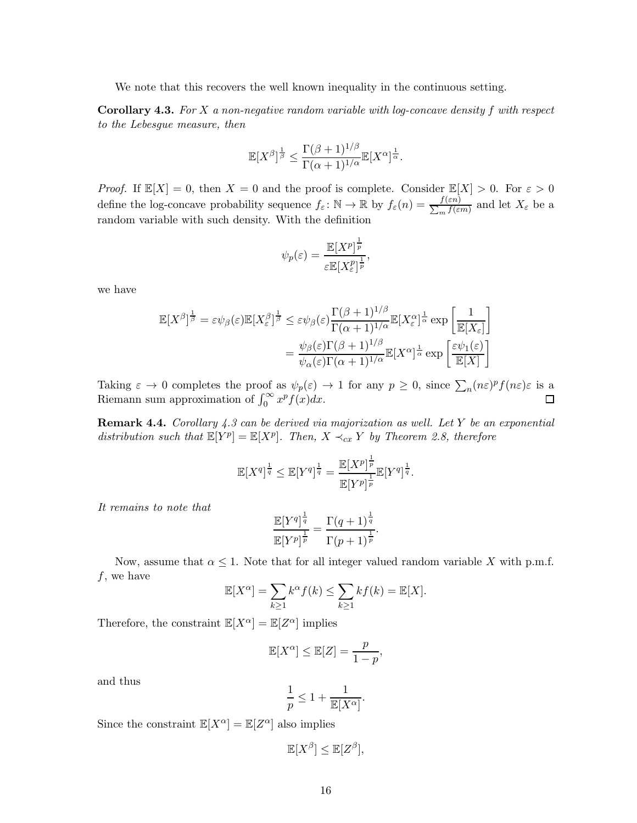We note that this recovers the well known inequality in the continuous setting.

**Corollary 4.3.** For X a non-negative random variable with log-concave density f with respect to the Lebesgue measure, then

$$
\mathbb{E}[X^{\beta}]^{\frac{1}{\beta}} \leq \frac{\Gamma(\beta+1)^{1/\beta}}{\Gamma(\alpha+1)^{1/\alpha}} \mathbb{E}[X^{\alpha}]^{\frac{1}{\alpha}}.
$$

*Proof.* If  $\mathbb{E}[X] = 0$ , then  $X = 0$  and the proof is complete. Consider  $\mathbb{E}[X] > 0$ . For  $\varepsilon > 0$ define the log-concave probability sequence  $f_{\varepsilon} \colon \mathbb{N} \to \mathbb{R}$  by  $f_{\varepsilon}(n) = \frac{f(\varepsilon n)}{\sum_m f(\varepsilon n)}$  $\frac{f(\varepsilon n)}{m}$  and let  $X_{\varepsilon}$  be a random variable with such density. With the definition

$$
\psi_p(\varepsilon) = \frac{\mathbb{E}[X^p]^{\frac{1}{p}}}{\varepsilon \mathbb{E}[X^p_{\varepsilon}]^{\frac{1}{p}}},
$$

we have

$$
\mathbb{E}[X^{\beta}]^{\frac{1}{\beta}} = \varepsilon \psi_{\beta}(\varepsilon) \mathbb{E}[X^{\beta}_{\varepsilon}]^{\frac{1}{\beta}} \leq \varepsilon \psi_{\beta}(\varepsilon) \frac{\Gamma(\beta + 1)^{1/\beta}}{\Gamma(\alpha + 1)^{1/\alpha}} \mathbb{E}[X^{\alpha}_{\varepsilon}]^{\frac{1}{\alpha}} \exp\left[\frac{1}{\mathbb{E}[X_{\varepsilon}]} \right]
$$

$$
= \frac{\psi_{\beta}(\varepsilon) \Gamma(\beta + 1)^{1/\beta}}{\psi_{\alpha}(\varepsilon) \Gamma(\alpha + 1)^{1/\alpha}} \mathbb{E}[X^{\alpha}]^{\frac{1}{\alpha}} \exp\left[\frac{\varepsilon \psi_{1}(\varepsilon)}{\mathbb{E}[X]}\right]
$$

Taking  $\varepsilon \to 0$  completes the proof as  $\psi_p(\varepsilon) \to 1$  for any  $p \geq 0$ , since  $\sum_n (n\varepsilon)^p f(n\varepsilon) \varepsilon$  is a Riemann sum approximation of  $\int_0^\infty x^p f(x) dx$ .

**Remark 4.4.** Corollary  $4.3$  can be derived via majorization as well. Let Y be an exponential distribution such that  $\mathbb{E}[Y^p] = \mathbb{E}[X^p]$ . Then,  $X \prec_{cx} Y$  by Theorem 2.8, therefore

$$
\mathbb{E}[X^q]^{\frac{1}{q}} \leq \mathbb{E}[Y^q]^{\frac{1}{q}} = \frac{\mathbb{E}[X^p]^{\frac{1}{p}}}{\mathbb{E}[Y^p]^{\frac{1}{p}}}\mathbb{E}[Y^q]^{\frac{1}{q}}.
$$

It remains to note that

$$
\frac{\mathbb{E}[Y^q]^{\frac{1}{q}}}{\mathbb{E}[Y^p]^{\frac{1}{p}}} = \frac{\Gamma(q+1)^{\frac{1}{q}}}{\Gamma(p+1)^{\frac{1}{p}}}.
$$

Now, assume that  $\alpha \leq 1$ . Note that for all integer valued random variable X with p.m.f.  $f$ , we have

$$
\mathbb{E}[X^{\alpha}] = \sum_{k \ge 1} k^{\alpha} f(k) \le \sum_{k \ge 1} k f(k) = \mathbb{E}[X].
$$

Therefore, the constraint  $\mathbb{E}[X^{\alpha}] = \mathbb{E}[Z^{\alpha}]$  implies

$$
\mathbb{E}[X^{\alpha}] \le \mathbb{E}[Z] = \frac{p}{1-p},
$$

and thus

$$
\frac{1}{p} \le 1 + \frac{1}{\mathbb{E}[X^{\alpha}]}.
$$

Since the constraint  $\mathbb{E}[X^{\alpha}] = \mathbb{E}[Z^{\alpha}]$  also implies

$$
\mathbb{E}[X^{\beta}] \leq \mathbb{E}[Z^{\beta}],
$$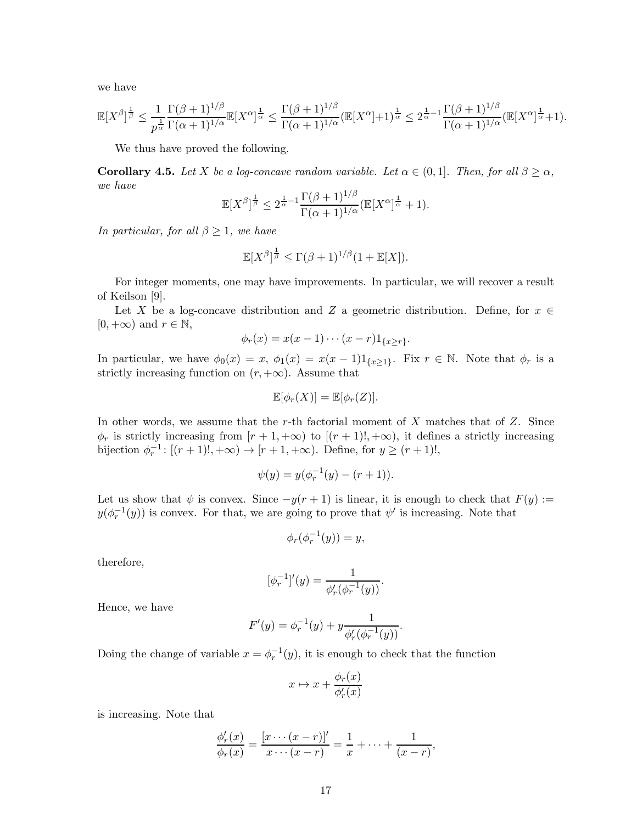we have

$$
\mathbb{E}[X^{\beta}]^{\frac{1}{\beta}} \leq \frac{1}{p^{\frac{1}{\alpha}}}\frac{\Gamma(\beta+1)^{1/\beta}}{\Gamma(\alpha+1)^{1/\alpha}}\mathbb{E}[X^{\alpha}]^{\frac{1}{\alpha}} \leq \frac{\Gamma(\beta+1)^{1/\beta}}{\Gamma(\alpha+1)^{1/\alpha}}(\mathbb{E}[X^{\alpha}]+1)^{\frac{1}{\alpha}} \leq 2^{\frac{1}{\alpha}-1}\frac{\Gamma(\beta+1)^{1/\beta}}{\Gamma(\alpha+1)^{1/\alpha}}(\mathbb{E}[X^{\alpha}]^{\frac{1}{\alpha}}+1).
$$

We thus have proved the following.

**Corollary 4.5.** Let X be a log-concave random variable. Let  $\alpha \in (0,1]$ . Then, for all  $\beta \geq \alpha$ , we have

$$
\mathbb{E}[X^{\beta}]^{\frac{1}{\beta}} \leq 2^{\frac{1}{\alpha}-1} \frac{\Gamma(\beta+1)^{1/\beta}}{\Gamma(\alpha+1)^{1/\alpha}} (\mathbb{E}[X^{\alpha}]^{\frac{1}{\alpha}} + 1).
$$

In particular, for all  $\beta \geq 1$ , we have

$$
\mathbb{E}[X^{\beta}]^{\frac{1}{\beta}} \leq \Gamma(\beta+1)^{1/\beta}(1+\mathbb{E}[X]).
$$

For integer moments, one may have improvements. In particular, we will recover a result of Keilson [9].

Let X be a log-concave distribution and Z a geometric distribution. Define, for  $x \in$  $[0, +\infty)$  and  $r \in \mathbb{N}$ ,

$$
\phi_r(x) = x(x-1)\cdots(x-r)1_{\{x\geq r\}}.
$$

In particular, we have  $\phi_0(x) = x$ ,  $\phi_1(x) = x(x-1)1_{\{x\geq 1\}}$ . Fix  $r \in \mathbb{N}$ . Note that  $\phi_r$  is a strictly increasing function on  $(r, +\infty)$ . Assume that

$$
\mathbb{E}[\phi_r(X)] = \mathbb{E}[\phi_r(Z)].
$$

In other words, we assume that the r-th factorial moment of  $X$  matches that of  $Z$ . Since  $\phi_r$  is strictly increasing from  $[r+1, +\infty)$  to  $[(r+1)!, +\infty)$ , it defines a strictly increasing bijection  $\phi_r^{-1}$ :  $[(r+1)!, +\infty) \to [r+1, +\infty)$ . Define, for  $y \ge (r+1)!$ ,

$$
\psi(y) = y(\phi_r^{-1}(y) - (r+1)).
$$

Let us show that  $\psi$  is convex. Since  $-y(r+1)$  is linear, it is enough to check that  $F(y) :=$  $y(\phi_r^{-1}(y))$  is convex. For that, we are going to prove that  $\psi'$  is increasing. Note that

$$
\phi_r(\phi_r^{-1}(y)) = y,
$$

therefore,

$$
[\phi_r^{-1}]'(y) = \frac{1}{\phi'_r(\phi_r^{-1}(y))}.
$$

Hence, we have

$$
F'(y) = \phi_r^{-1}(y) + y \frac{1}{\phi'_r(\phi_r^{-1}(y))}.
$$

Doing the change of variable  $x = \phi_r^{-1}(y)$ , it is enough to check that the function

$$
x \mapsto x + \frac{\phi_r(x)}{\phi'_r(x)}
$$

is increasing. Note that

$$
\frac{\phi'_r(x)}{\phi_r(x)} = \frac{[x \cdots (x-r)]'}{x \cdots (x-r)} = \frac{1}{x} + \cdots + \frac{1}{(x-r)},
$$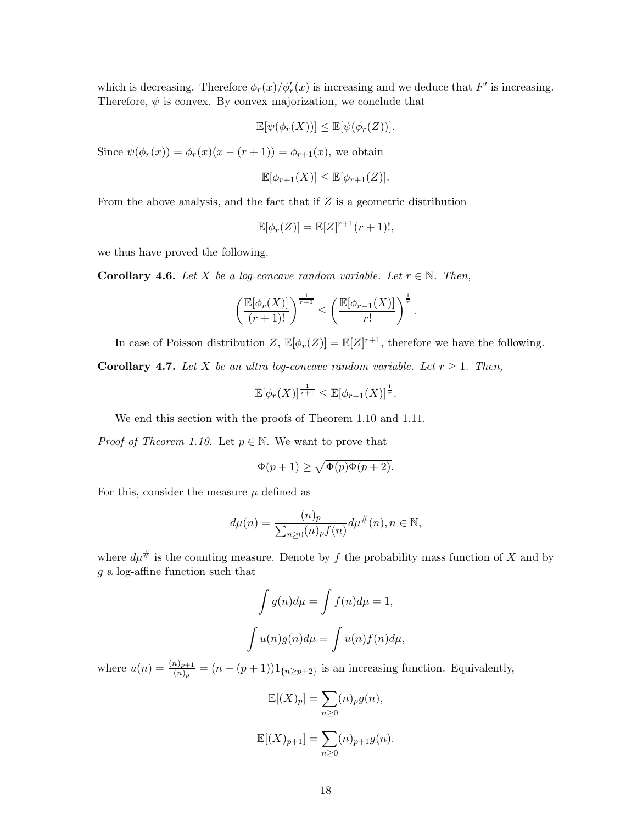which is decreasing. Therefore  $\phi_r(x)/\phi'_r(x)$  is increasing and we deduce that  $F'$  is increasing. Therefore,  $\psi$  is convex. By convex majorization, we conclude that

$$
\mathbb{E}[\psi(\phi_r(X))] \leq \mathbb{E}[\psi(\phi_r(Z))].
$$

Since  $\psi(\phi_r(x)) = \phi_r(x)(x - (r + 1)) = \phi_{r+1}(x)$ , we obtain

$$
\mathbb{E}[\phi_{r+1}(X)] \le \mathbb{E}[\phi_{r+1}(Z)].
$$

From the above analysis, and the fact that if  $Z$  is a geometric distribution

$$
\mathbb{E}[\phi_r(Z)] = \mathbb{E}[Z]^{r+1}(r+1)!,
$$

we thus have proved the following.

**Corollary 4.6.** Let X be a log-concave random variable. Let  $r \in \mathbb{N}$ . Then,

$$
\left(\frac{\mathbb{E}[\phi_r(X)]}{(r+1)!}\right)^{\frac{1}{r+1}} \leq \left(\frac{\mathbb{E}[\phi_{r-1}(X)]}{r!}\right)^{\frac{1}{r}}.
$$

In case of Poisson distribution Z,  $\mathbb{E}[\phi_r(Z)] = \mathbb{E}[Z]^{r+1}$ , therefore we have the following. Corollary 4.7. Let X be an ultra log-concave random variable. Let  $r \geq 1$ . Then,

$$
\mathbb{E}[\phi_r(X)]^{\frac{1}{r+1}} \leq \mathbb{E}[\phi_{r-1}(X)]^{\frac{1}{r}}.
$$

We end this section with the proofs of Theorem 1.10 and 1.11.

*Proof of Theorem 1.10.* Let  $p \in \mathbb{N}$ . We want to prove that

$$
\Phi(p+1)\geq \sqrt{\Phi(p)\Phi(p+2)}.
$$

For this, consider the measure  $\mu$  defined as

$$
d\mu(n) = \frac{(n)_p}{\sum_{n \ge 0} (n)_p f(n)} d\mu^{\#}(n), n \in \mathbb{N},
$$

where  $d\mu^{\#}$  is the counting measure. Denote by f the probability mass function of X and by g a log-affine function such that

$$
\int g(n)d\mu = \int f(n)d\mu = 1,
$$

$$
\int u(n)g(n)d\mu = \int u(n)f(n)d\mu,
$$

where  $u(n) = \frac{(n)_{p+1}}{(n)_p} = (n - (p+1))1_{\{n \geq p+2\}}$  is an increasing function. Equivalently,

$$
\mathbb{E}[(X)_p] = \sum_{n\geq 0} (n)_p g(n),
$$
  

$$
\mathbb{E}[(X)_{p+1}] = \sum_{n\geq 0} (n)_{p+1} g(n).
$$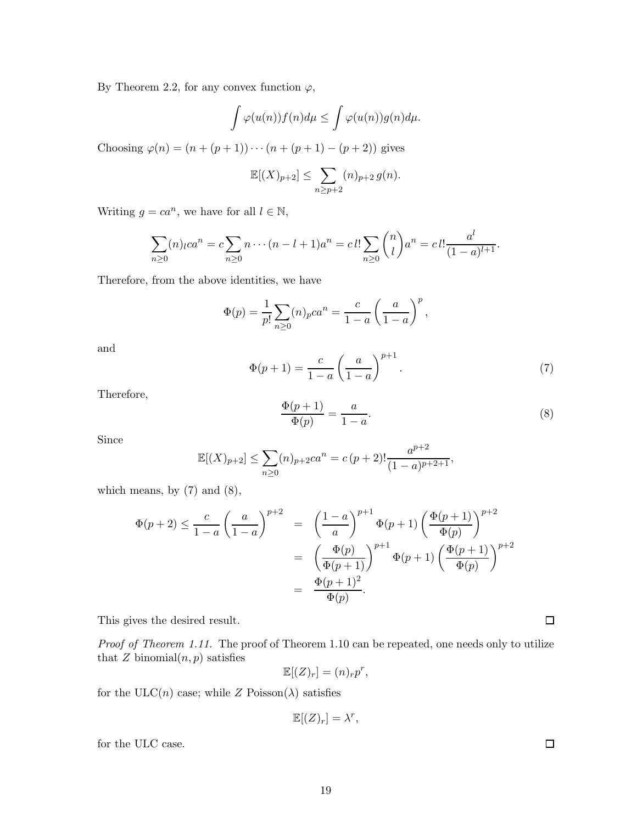By Theorem 2.2, for any convex function  $\varphi$ ,

$$
\int \varphi(u(n))f(n)d\mu \leq \int \varphi(u(n))g(n)d\mu.
$$

Choosing  $\varphi(n) = (n + (p + 1)) \cdots (n + (p + 1) - (p + 2))$  gives

$$
\mathbb{E}[(X)_{p+2}] \le \sum_{n \ge p+2} (n)_{p+2} g(n).
$$

Writing  $g = ca^n$ , we have for all  $l \in \mathbb{N}$ ,

$$
\sum_{n\geq 0} (n)_l ca^n = c \sum_{n\geq 0} n \cdots (n-l+1)a^n = cl! \sum_{n\geq 0} {n \choose l} a^n = cl! \frac{a^l}{(1-a)^{l+1}}.
$$

Therefore, from the above identities, we have

$$
\Phi(p) = \frac{1}{p!} \sum_{n \ge 0} (n)_p c a^n = \frac{c}{1-a} \left( \frac{a}{1-a} \right)^p,
$$

and

$$
\Phi(p+1) = \frac{c}{1-a} \left(\frac{a}{1-a}\right)^{p+1}.
$$
\n(7)

Therefore,

$$
\frac{\Phi(p+1)}{\Phi(p)} = \frac{a}{1-a}.\tag{8}
$$

Since

$$
\mathbb{E}[(X)_{p+2}] \le \sum_{n\ge 0} (n)_{p+2} c a^n = c (p+2)! \frac{a^{p+2}}{(1-a)^{p+2+1}},
$$

which means, by  $(7)$  and  $(8)$ ,

$$
\Phi(p+2) \le \frac{c}{1-a} \left(\frac{a}{1-a}\right)^{p+2} = \left(\frac{1-a}{a}\right)^{p+1} \Phi(p+1) \left(\frac{\Phi(p+1)}{\Phi(p)}\right)^{p+2} \n= \left(\frac{\Phi(p)}{\Phi(p+1)}\right)^{p+1} \Phi(p+1) \left(\frac{\Phi(p+1)}{\Phi(p)}\right)^{p+2} \n= \frac{\Phi(p+1)^2}{\Phi(p)}.
$$

This gives the desired result.

Proof of Theorem 1.11. The proof of Theorem 1.10 can be repeated, one needs only to utilize that  $Z$  binomial $(n, p)$  satisfies

$$
\mathbb{E}[(Z)_r] = (n)_r p^r,
$$

for the ULC(n) case; while Z Poisson( $\lambda$ ) satisfies

$$
\mathbb{E}[(Z)_r] = \lambda^r,
$$

for the ULC case.

 $\Box$ 

 $\Box$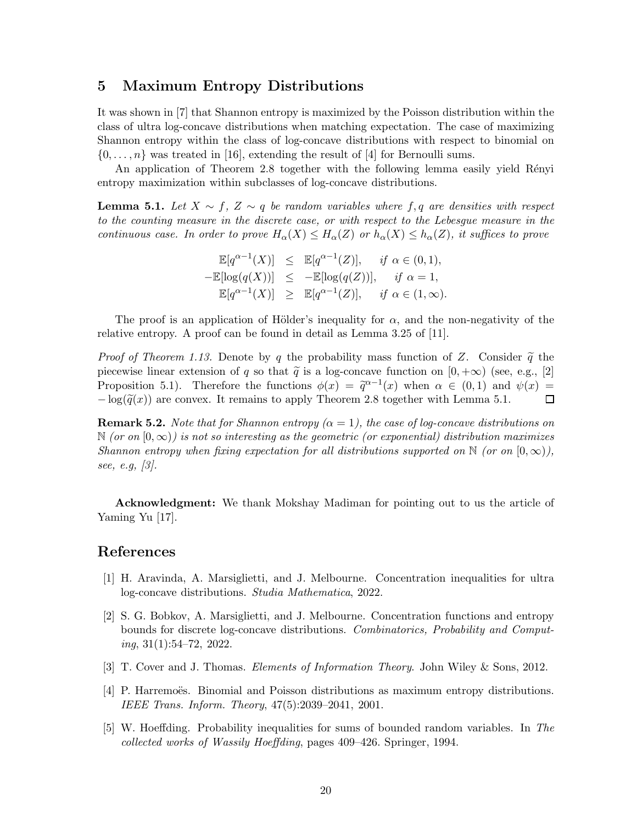#### 5 Maximum Entropy Distributions

It was shown in [7] that Shannon entropy is maximized by the Poisson distribution within the class of ultra log-concave distributions when matching expectation. The case of maximizing Shannon entropy within the class of log-concave distributions with respect to binomial on  $\{0, \ldots, n\}$  was treated in [16], extending the result of [4] for Bernoulli sums.

An application of Theorem 2.8 together with the following lemma easily yield Rényi entropy maximization within subclasses of log-concave distributions.

**Lemma 5.1.** Let  $X \sim f$ ,  $Z \sim q$  be random variables where f, q are densities with respect to the counting measure in the discrete case, or with respect to the Lebesgue measure in the continuous case. In order to prove  $H_{\alpha}(X) \leq H_{\alpha}(Z)$  or  $h_{\alpha}(X) \leq h_{\alpha}(Z)$ , it suffices to prove

$$
\mathbb{E}[q^{\alpha-1}(X)] \leq \mathbb{E}[q^{\alpha-1}(Z)], \quad \text{if } \alpha \in (0,1),
$$
  
\n
$$
-\mathbb{E}[\log(q(X))] \leq -\mathbb{E}[\log(q(Z))], \quad \text{if } \alpha = 1,
$$
  
\n
$$
\mathbb{E}[q^{\alpha-1}(X)] \geq \mathbb{E}[q^{\alpha-1}(Z)], \quad \text{if } \alpha \in (1,\infty).
$$

The proof is an application of Hölder's inequality for  $\alpha$ , and the non-negativity of the relative entropy. A proof can be found in detail as Lemma 3.25 of [11].

*Proof of Theorem 1.13.* Denote by q the probability mass function of Z. Consider  $\tilde{q}$  the piecewise linear extension of q so that  $\tilde{q}$  is a log-concave function on  $[0, +\infty)$  (see, e.g., [2] Proposition 5.1). Therefore the functions  $\phi(x) = \tilde{q}^{\alpha-1}(x)$  when  $\alpha \in (0,1)$  and  $\psi(x) =$  $-\log(\tilde{q}(x))$  are convex. It remains to apply Theorem 2.8 together with Lemma 5.1.

**Remark 5.2.** Note that for Shannon entropy ( $\alpha = 1$ ), the case of log-concave distributions on  $\mathbb N$  (or on  $[0,\infty)$ ) is not so interesting as the geometric (or exponential) distribution maximizes Shannon entropy when fixing expectation for all distributions supported on  $\mathbb N$  (or on  $[0,\infty)$ ), see, e.g, [3].

Acknowledgment: We thank Mokshay Madiman for pointing out to us the article of Yaming Yu [17].

#### References

- [1] H. Aravinda, A. Marsiglietti, and J. Melbourne. Concentration inequalities for ultra log-concave distributions. Studia Mathematica, 2022.
- [2] S. G. Bobkov, A. Marsiglietti, and J. Melbourne. Concentration functions and entropy bounds for discrete log-concave distributions. Combinatorics, Probability and Comput $ing, 31(1):54–72, 2022.$
- [3] T. Cover and J. Thomas. Elements of Information Theory. John Wiley & Sons, 2012.
- [4] P. Harremoës. Binomial and Poisson distributions as maximum entropy distributions. IEEE Trans. Inform. Theory, 47(5):2039–2041, 2001.
- [5] W. Hoeffding. Probability inequalities for sums of bounded random variables. In The collected works of Wassily Hoeffding, pages 409–426. Springer, 1994.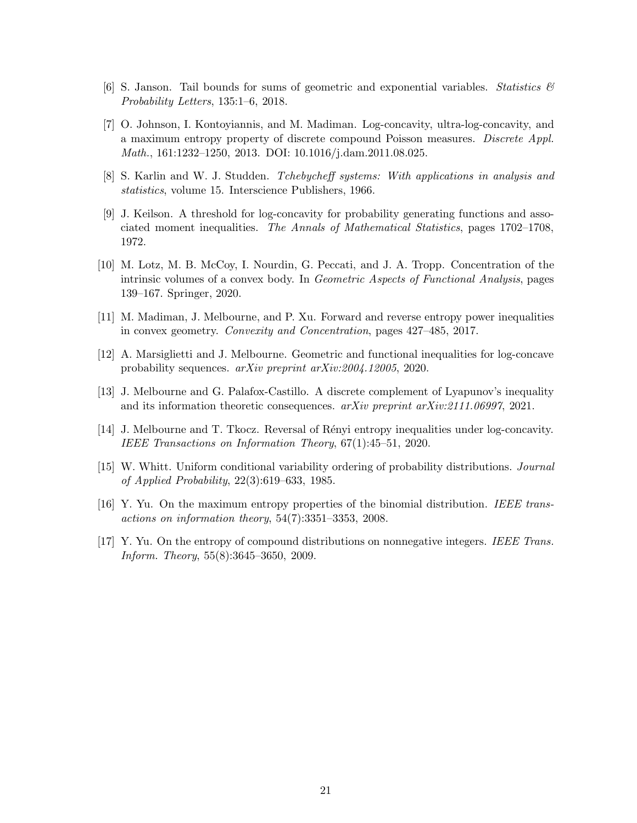- [6] S. Janson. Tail bounds for sums of geometric and exponential variables. Statistics  $\mathcal{C}$ Probability Letters, 135:1–6, 2018.
- [7] O. Johnson, I. Kontoyiannis, and M. Madiman. Log-concavity, ultra-log-concavity, and a maximum entropy property of discrete compound Poisson measures. Discrete Appl. Math., 161:1232–1250, 2013. DOI: 10.1016/j.dam.2011.08.025.
- [8] S. Karlin and W. J. Studden. Tchebycheff systems: With applications in analysis and statistics, volume 15. Interscience Publishers, 1966.
- [9] J. Keilson. A threshold for log-concavity for probability generating functions and associated moment inequalities. The Annals of Mathematical Statistics, pages 1702–1708, 1972.
- [10] M. Lotz, M. B. McCoy, I. Nourdin, G. Peccati, and J. A. Tropp. Concentration of the intrinsic volumes of a convex body. In Geometric Aspects of Functional Analysis, pages 139–167. Springer, 2020.
- [11] M. Madiman, J. Melbourne, and P. Xu. Forward and reverse entropy power inequalities in convex geometry. Convexity and Concentration, pages 427–485, 2017.
- [12] A. Marsiglietti and J. Melbourne. Geometric and functional inequalities for log-concave probability sequences. arXiv preprint arXiv:2004.12005, 2020.
- [13] J. Melbourne and G. Palafox-Castillo. A discrete complement of Lyapunov's inequality and its information theoretic consequences. arXiv preprint arXiv:2111.06997, 2021.
- [14] J. Melbourne and T. Tkocz. Reversal of R´enyi entropy inequalities under log-concavity. IEEE Transactions on Information Theory, 67(1):45–51, 2020.
- [15] W. Whitt. Uniform conditional variability ordering of probability distributions. Journal of Applied Probability, 22(3):619–633, 1985.
- [16] Y. Yu. On the maximum entropy properties of the binomial distribution. IEEE transactions on information theory, 54(7):3351–3353, 2008.
- [17] Y. Yu. On the entropy of compound distributions on nonnegative integers. IEEE Trans. Inform. Theory, 55(8):3645–3650, 2009.